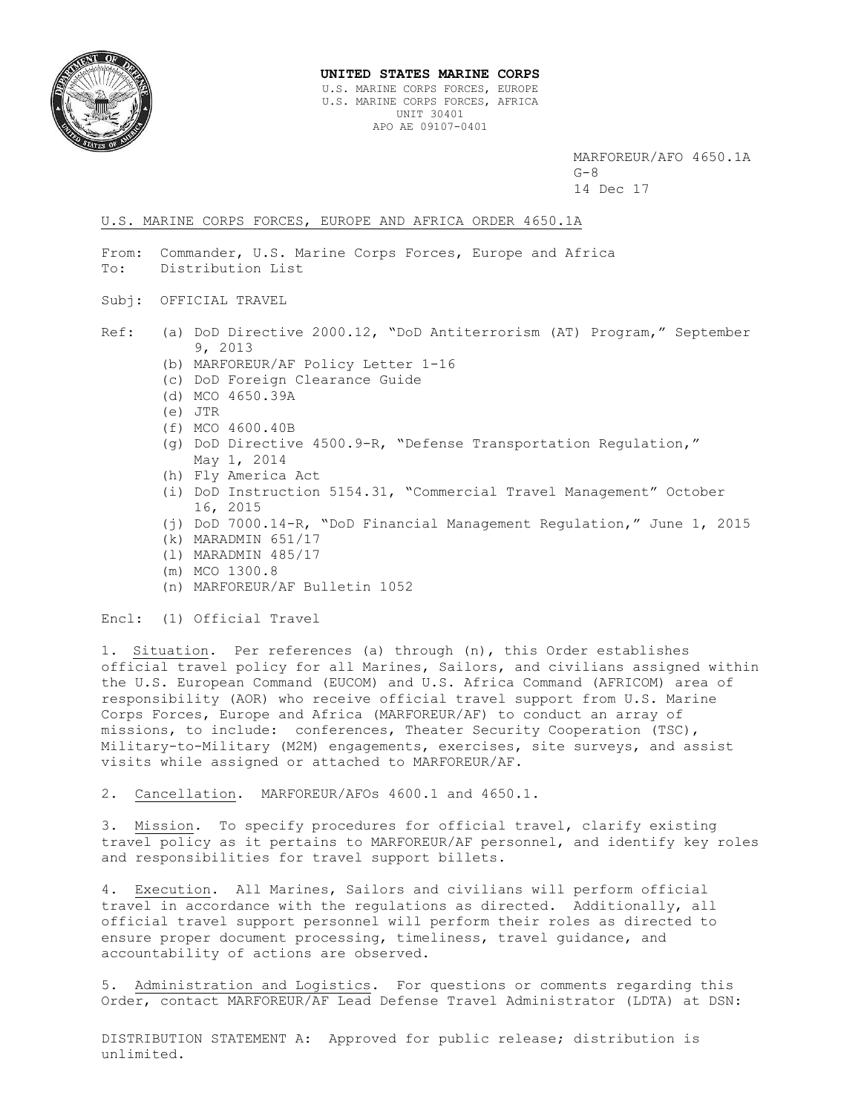

#### **UNITED STATES MARINE CORPS** U.S. MARINE CORPS FORCES, EUROPE U.S. MARINE CORPS FORCES, AFRICA UNIT 30401 APO AE 09107-0401

MARFOREUR/AFO 4650.1A  $G-8$ 14 Dec 17

#### U.S. MARINE CORPS FORCES, EUROPE AND AFRICA ORDER 4650.1A

- From: Commander, U.S. Marine Corps Forces, Europe and Africa To: Distribution List
- Subj: OFFICIAL TRAVEL
- Ref: (a) DoD Directive 2000.12, "DoD Antiterrorism (AT) Program," September 9, 2013
	- (b) MARFOREUR/AF Policy Letter 1-16
	- (c) DoD Foreign Clearance Guide
	- (d) MCO 4650.39A
	- (e) JTR
	- (f) MCO 4600.40B
	- (g) DoD Directive 4500.9-R, "Defense Transportation Regulation," May 1, 2014
	- (h) Fly America Act
	- (i) DoD Instruction 5154.31, "Commercial Travel Management" October 16, 2015
	- (j) DoD 7000.14-R, "DoD Financial Management Regulation," June 1, 2015
	- (k) MARADMIN 651/17
	- (l) MARADMIN 485/17
	- (m) MCO 1300.8
	- (n) MARFOREUR/AF Bulletin 1052

Encl: (1) Official Travel

1. Situation. Per references (a) through (n), this Order establishes official travel policy for all Marines, Sailors, and civilians assigned within the U.S. European Command (EUCOM) and U.S. Africa Command (AFRICOM) area of responsibility (AOR) who receive official travel support from U.S. Marine Corps Forces, Europe and Africa (MARFOREUR/AF) to conduct an array of missions, to include: conferences, Theater Security Cooperation (TSC), Military-to-Military (M2M) engagements, exercises, site surveys, and assist visits while assigned or attached to MARFOREUR/AF.

2. Cancellation. MARFOREUR/AFOs 4600.1 and 4650.1.

3. Mission. To specify procedures for official travel, clarify existing travel policy as it pertains to MARFOREUR/AF personnel, and identify key roles and responsibilities for travel support billets.

4. Execution. All Marines, Sailors and civilians will perform official travel in accordance with the regulations as directed. Additionally, all official travel support personnel will perform their roles as directed to ensure proper document processing, timeliness, travel guidance, and accountability of actions are observed.

5. Administration and Logistics. For questions or comments regarding this Order, contact MARFOREUR/AF Lead Defense Travel Administrator (LDTA) at DSN:

DISTRIBUTION STATEMENT A: Approved for public release; distribution is unlimited.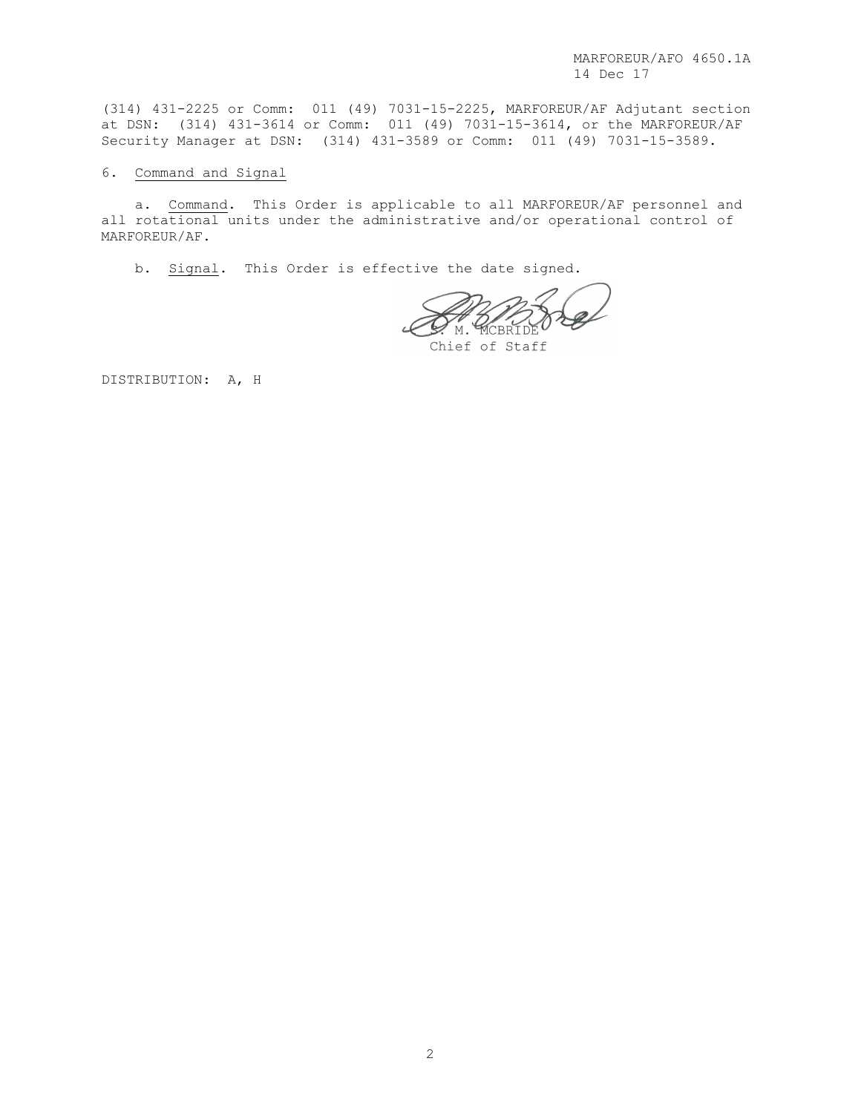MARFOREUR/AFO 4650.1A 14 Dec 17

(314) 431-2225 or Comm: 011 (49) 7031-15-2225, MARFOREUR/AF Adjutant section at DSN: (314) 431-3614 or Comm: 011 (49) 7031-15-3614, or the MARFOREUR/AF Security Manager at DSN: (314) 431-3589 or Comm: 011 (49) 7031-15-3589.

## 6. Command and Signal

a. Command. This Order is applicable to all MARFOREUR/AF personnel and all rotational units under the administrative and/or operational control of MARFOREUR/AF.

b. Signal. This Order is effective the date signed.

M. MCBRIDE

Chief of Staff

DISTRIBUTION: A, H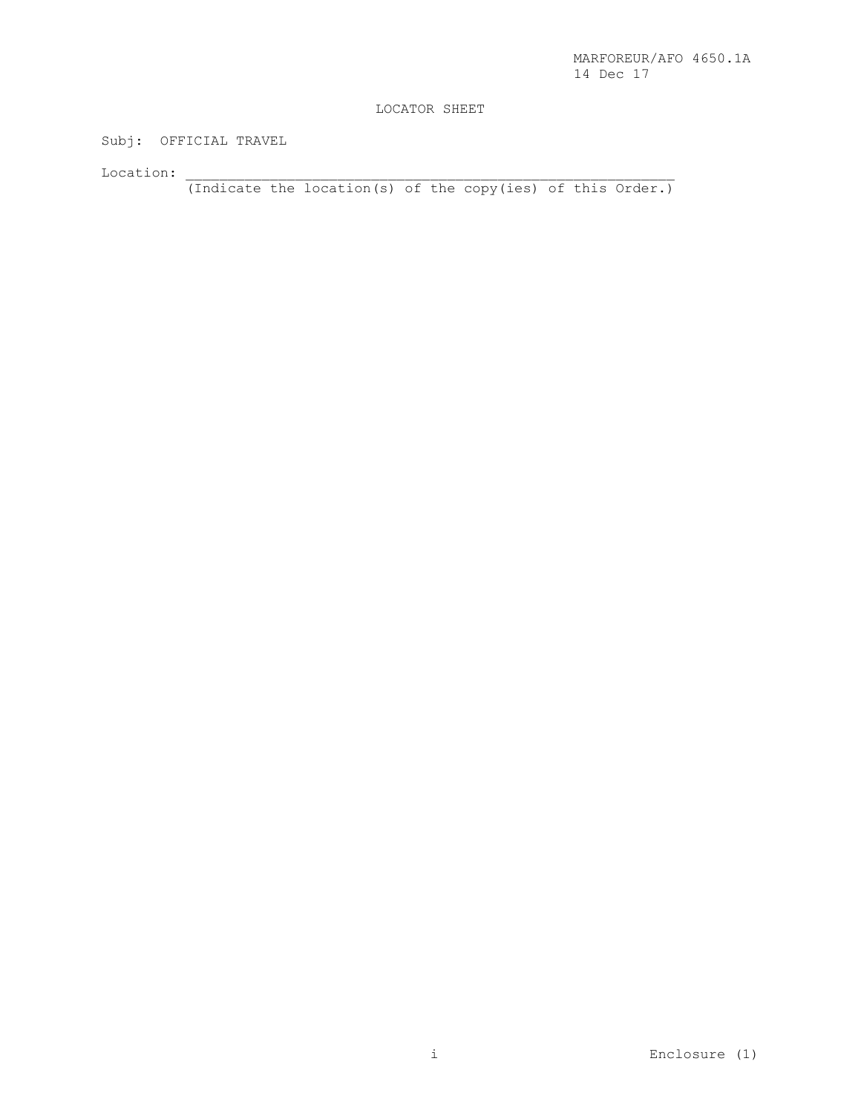# LOCATOR SHEET

Subj: OFFICIAL TRAVEL

 $\rm Location:$ 

(Indicate the location(s) of the copy(ies) of this Order.)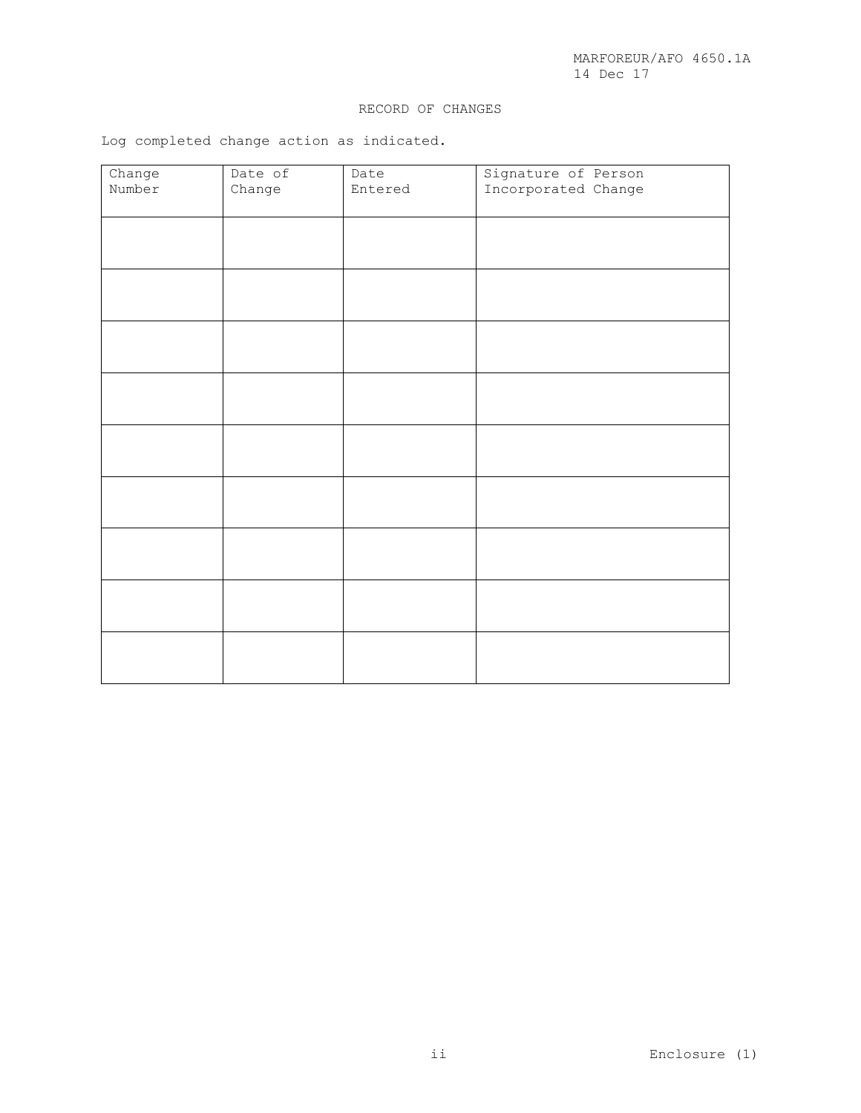## RECORD OF CHANGES

Log completed change action as indicated.

| Change | Date of | Date    | Signature of Person |
|--------|---------|---------|---------------------|
| Number | Change  | Entered | Incorporated Change |
|        |         |         |                     |
|        |         |         |                     |
|        |         |         |                     |
|        |         |         |                     |
|        |         |         |                     |
|        |         |         |                     |
|        |         |         |                     |
|        |         |         |                     |
|        |         |         |                     |
|        |         |         |                     |
|        |         |         |                     |
|        |         |         |                     |
|        |         |         |                     |
|        |         |         |                     |
|        |         |         |                     |
|        |         |         |                     |
|        |         |         |                     |
|        |         |         |                     |
|        |         |         |                     |
|        |         |         |                     |
|        |         |         |                     |
|        |         |         |                     |
|        |         |         |                     |
|        |         |         |                     |
|        |         |         |                     |
|        |         |         |                     |
|        |         |         |                     |
|        |         |         |                     |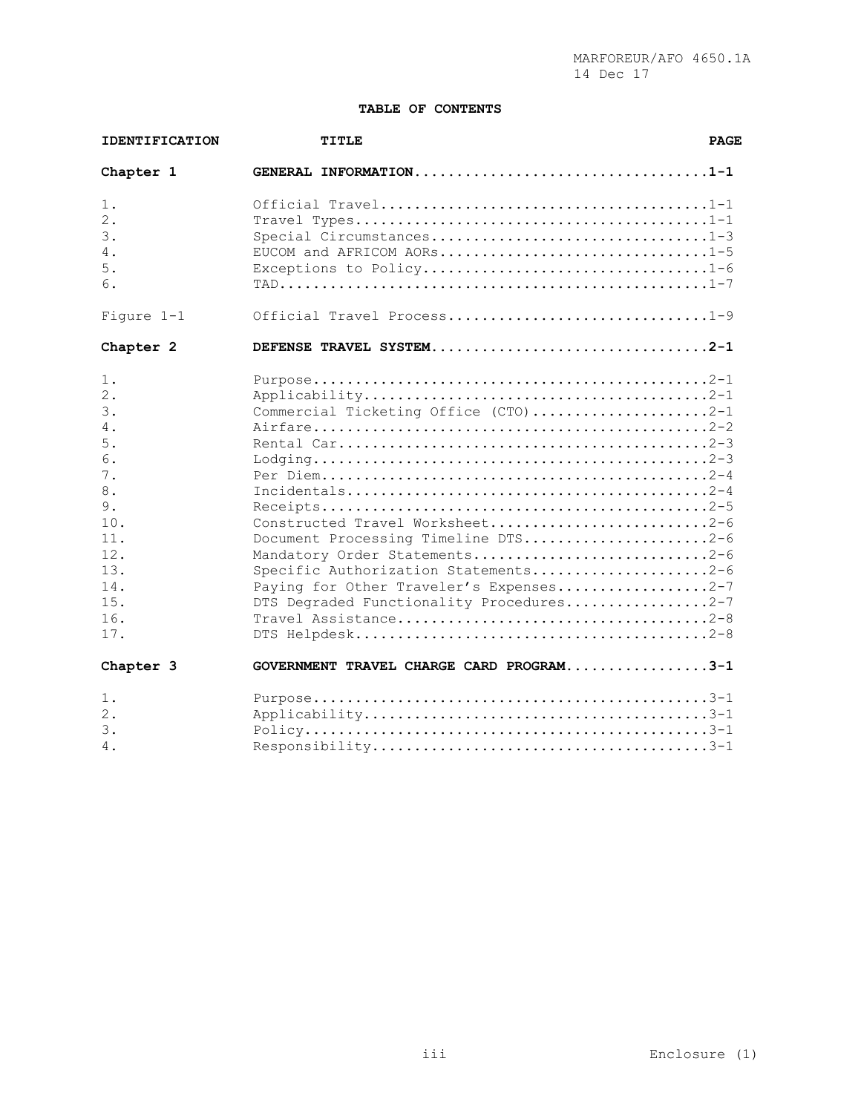## **TABLE OF CONTENTS**

| <b>IDENTIFICATION</b> | <b>PAGE</b><br><b>TITLE</b>                           |  |  |
|-----------------------|-------------------------------------------------------|--|--|
| Chapter 1             | GENERAL INFORMATION1-1                                |  |  |
| 1.                    |                                                       |  |  |
| 2.                    |                                                       |  |  |
| 3.<br>4.              | Special Circumstances1-3<br>EUCOM and AFRICOM AORs1-5 |  |  |
| 5.                    | Exceptions to Policy1-6                               |  |  |
| 6.                    |                                                       |  |  |
| Figure 1-1            | Official Travel Process1-9                            |  |  |
| Chapter 2             | DEFENSE TRAVEL SYSTEM2-1                              |  |  |
| 1.                    |                                                       |  |  |
| 2.                    |                                                       |  |  |
| 3.                    | Commercial Ticketing Office (CTO)2-1                  |  |  |
| 4.<br>5.              |                                                       |  |  |
| 6.                    |                                                       |  |  |
| 7.                    |                                                       |  |  |
| 8.                    |                                                       |  |  |
| 9.                    |                                                       |  |  |
| 10.                   | Constructed Travel Worksheet2-6                       |  |  |
| 11.                   | Document Processing Timeline DTS2-6                   |  |  |
| 12.                   | Mandatory Order Statements2-6                         |  |  |
| 13.                   | Specific Authorization Statements2-6                  |  |  |
| 14.                   | Paying for Other Traveler's Expenses2-7               |  |  |
| 15.                   | DTS Degraded Functionality Procedures2-7              |  |  |
| 16.<br>17.            | Travel Assistance2-8                                  |  |  |
|                       |                                                       |  |  |
| Chapter 3             | GOVERNMENT TRAVEL CHARGE CARD PROGRAM3-1              |  |  |
| 1.                    |                                                       |  |  |
| 2.<br>3.              |                                                       |  |  |
| 4.                    |                                                       |  |  |
|                       |                                                       |  |  |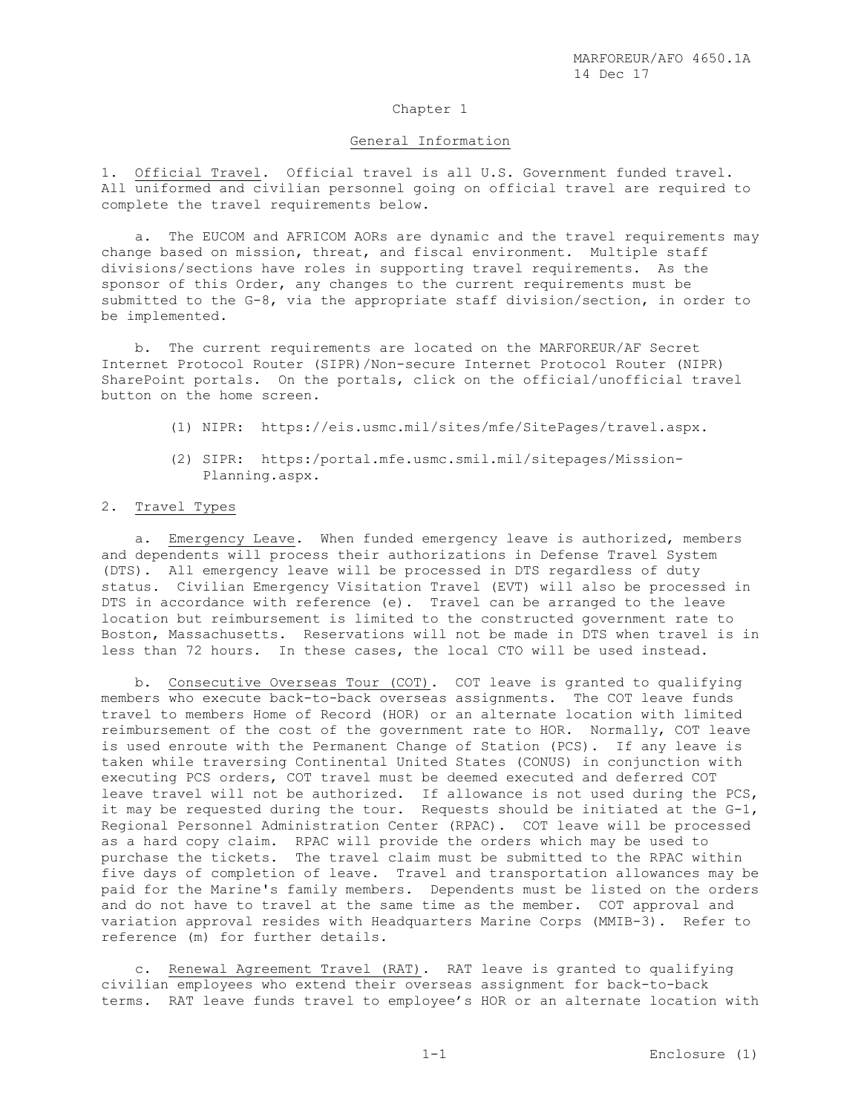## Chapter 1

#### General Information

1. Official Travel. Official travel is all U.S. Government funded travel. All uniformed and civilian personnel going on official travel are required to complete the travel requirements below.

 a. The EUCOM and AFRICOM AORs are dynamic and the travel requirements may change based on mission, threat, and fiscal environment. Multiple staff divisions/sections have roles in supporting travel requirements. As the sponsor of this Order, any changes to the current requirements must be submitted to the G-8, via the appropriate staff division/section, in order to be implemented.

 b. The current requirements are located on the MARFOREUR/AF Secret Internet Protocol Router (SIPR)/Non-secure Internet Protocol Router (NIPR) SharePoint portals. On the portals, click on the official/unofficial travel button on the home screen.

- (1) NIPR: https://eis.usmc.mil/sites/mfe/SitePages/travel.aspx.
- (2) SIPR: https:/portal.mfe.usmc.smil.mil/sitepages/Mission-Planning.aspx.

#### 2. Travel Types

 a. Emergency Leave. When funded emergency leave is authorized, members and dependents will process their authorizations in Defense Travel System (DTS). All emergency leave will be processed in DTS regardless of duty status. Civilian Emergency Visitation Travel (EVT) will also be processed in DTS in accordance with reference (e). Travel can be arranged to the leave location but reimbursement is limited to the constructed government rate to Boston, Massachusetts. Reservations will not be made in DTS when travel is in less than 72 hours. In these cases, the local CTO will be used instead.

 b. Consecutive Overseas Tour (COT). COT leave is granted to qualifying members who execute back-to-back overseas assignments. The COT leave funds travel to members Home of Record (HOR) or an alternate location with limited reimbursement of the cost of the government rate to HOR. Normally, COT leave is used enroute with the Permanent Change of Station (PCS). If any leave is taken while traversing Continental United States (CONUS) in conjunction with executing PCS orders, COT travel must be deemed executed and deferred COT leave travel will not be authorized. If allowance is not used during the PCS, it may be requested during the tour. Requests should be initiated at the G-1, Regional Personnel Administration Center (RPAC). COT leave will be processed as a hard copy claim. RPAC will provide the orders which may be used to purchase the tickets. The travel claim must be submitted to the RPAC within five days of completion of leave. Travel and transportation allowances may be paid for the Marine's family members. Dependents must be listed on the orders and do not have to travel at the same time as the member. COT approval and variation approval resides with Headquarters Marine Corps (MMIB-3). Refer to reference (m) for further details.

 c. Renewal Agreement Travel (RAT). RAT leave is granted to qualifying civilian employees who extend their overseas assignment for back-to-back terms. RAT leave funds travel to employee's HOR or an alternate location with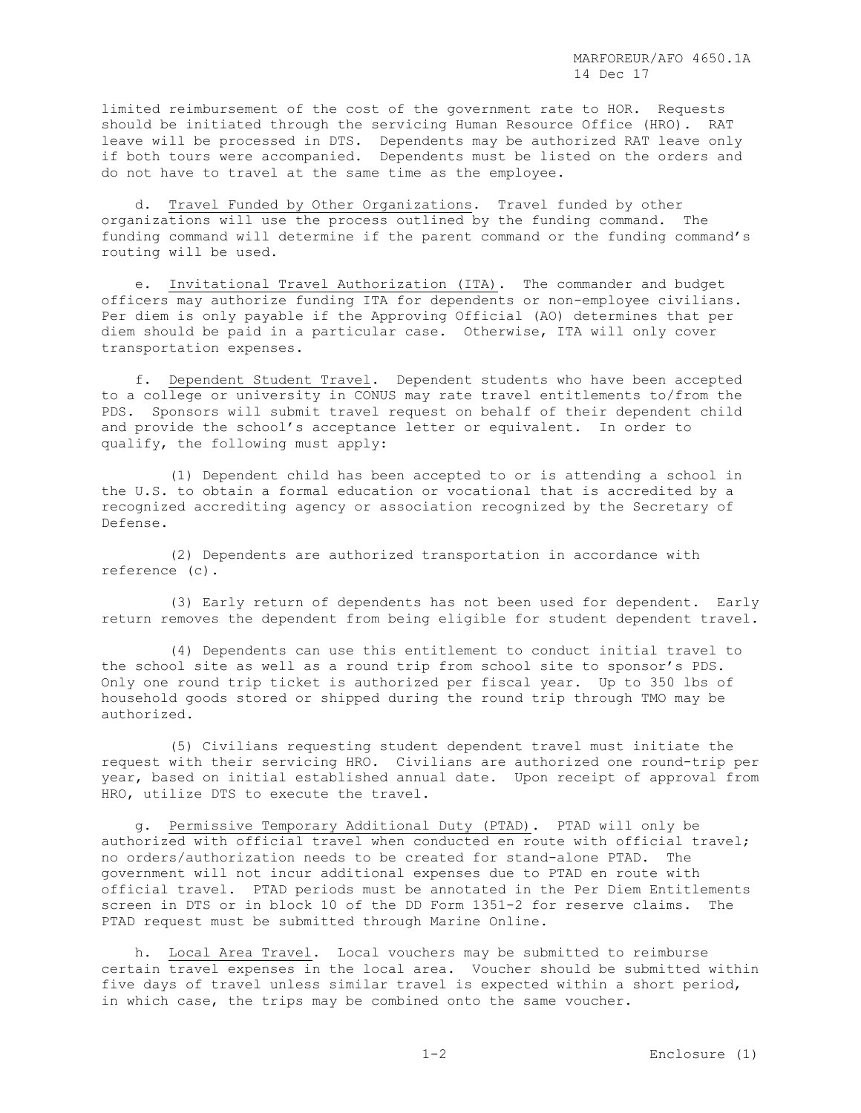limited reimbursement of the cost of the government rate to HOR. Requests should be initiated through the servicing Human Resource Office (HRO). RAT leave will be processed in DTS. Dependents may be authorized RAT leave only if both tours were accompanied. Dependents must be listed on the orders and do not have to travel at the same time as the employee.

 d. Travel Funded by Other Organizations. Travel funded by other organizations will use the process outlined by the funding command. The funding command will determine if the parent command or the funding command's routing will be used.

 e. Invitational Travel Authorization (ITA). The commander and budget officers may authorize funding ITA for dependents or non-employee civilians. Per diem is only payable if the Approving Official (AO) determines that per diem should be paid in a particular case. Otherwise, ITA will only cover transportation expenses.

 f. Dependent Student Travel. Dependent students who have been accepted to a college or university in CONUS may rate travel entitlements to/from the PDS. Sponsors will submit travel request on behalf of their dependent child and provide the school's acceptance letter or equivalent. In order to qualify, the following must apply:

 (1) Dependent child has been accepted to or is attending a school in the U.S. to obtain a formal education or vocational that is accredited by a recognized accrediting agency or association recognized by the Secretary of Defense.

 (2) Dependents are authorized transportation in accordance with reference (c).

 (3) Early return of dependents has not been used for dependent. Early return removes the dependent from being eligible for student dependent travel.

 (4) Dependents can use this entitlement to conduct initial travel to the school site as well as a round trip from school site to sponsor's PDS. Only one round trip ticket is authorized per fiscal year. Up to 350 lbs of household goods stored or shipped during the round trip through TMO may be authorized.

 (5) Civilians requesting student dependent travel must initiate the request with their servicing HRO. Civilians are authorized one round-trip per year, based on initial established annual date. Upon receipt of approval from HRO, utilize DTS to execute the travel.

 g. Permissive Temporary Additional Duty (PTAD). PTAD will only be authorized with official travel when conducted en route with official travel; no orders/authorization needs to be created for stand-alone PTAD. The government will not incur additional expenses due to PTAD en route with official travel. PTAD periods must be annotated in the Per Diem Entitlements screen in DTS or in block 10 of the DD Form 1351-2 for reserve claims. The PTAD request must be submitted through Marine Online.

 h. Local Area Travel. Local vouchers may be submitted to reimburse certain travel expenses in the local area. Voucher should be submitted within five days of travel unless similar travel is expected within a short period, in which case, the trips may be combined onto the same voucher.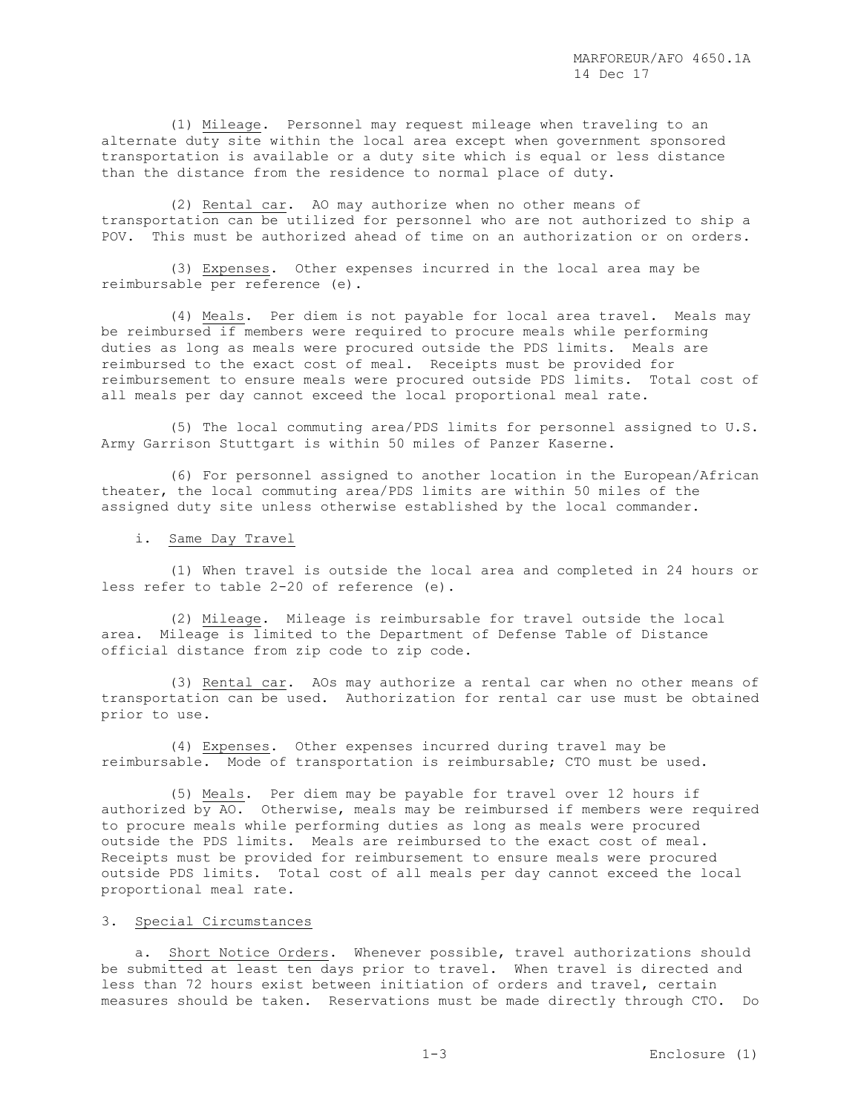(1) Mileage. Personnel may request mileage when traveling to an alternate duty site within the local area except when government sponsored transportation is available or a duty site which is equal or less distance than the distance from the residence to normal place of duty.

 (2) Rental car. AO may authorize when no other means of transportation can be utilized for personnel who are not authorized to ship a POV. This must be authorized ahead of time on an authorization or on orders.

 (3) Expenses. Other expenses incurred in the local area may be reimbursable per reference (e).

 (4) Meals. Per diem is not payable for local area travel. Meals may be reimbursed if members were required to procure meals while performing duties as long as meals were procured outside the PDS limits. Meals are reimbursed to the exact cost of meal. Receipts must be provided for reimbursement to ensure meals were procured outside PDS limits. Total cost of all meals per day cannot exceed the local proportional meal rate.

 (5) The local commuting area/PDS limits for personnel assigned to U.S. Army Garrison Stuttgart is within 50 miles of Panzer Kaserne.

 (6) For personnel assigned to another location in the European/African theater, the local commuting area/PDS limits are within 50 miles of the assigned duty site unless otherwise established by the local commander.

i. Same Day Travel

 (1) When travel is outside the local area and completed in 24 hours or less refer to table 2-20 of reference (e).

 (2) Mileage. Mileage is reimbursable for travel outside the local area. Mileage is limited to the Department of Defense Table of Distance official distance from zip code to zip code.

 (3) Rental car. AOs may authorize a rental car when no other means of transportation can be used. Authorization for rental car use must be obtained prior to use.

 (4) Expenses. Other expenses incurred during travel may be reimbursable. Mode of transportation is reimbursable; CTO must be used.

 (5) Meals. Per diem may be payable for travel over 12 hours if authorized by AO. Otherwise, meals may be reimbursed if members were required to procure meals while performing duties as long as meals were procured outside the PDS limits. Meals are reimbursed to the exact cost of meal. Receipts must be provided for reimbursement to ensure meals were procured outside PDS limits. Total cost of all meals per day cannot exceed the local proportional meal rate.

# 3. Special Circumstances

 a. Short Notice Orders. Whenever possible, travel authorizations should be submitted at least ten days prior to travel. When travel is directed and less than 72 hours exist between initiation of orders and travel, certain measures should be taken. Reservations must be made directly through CTO. Do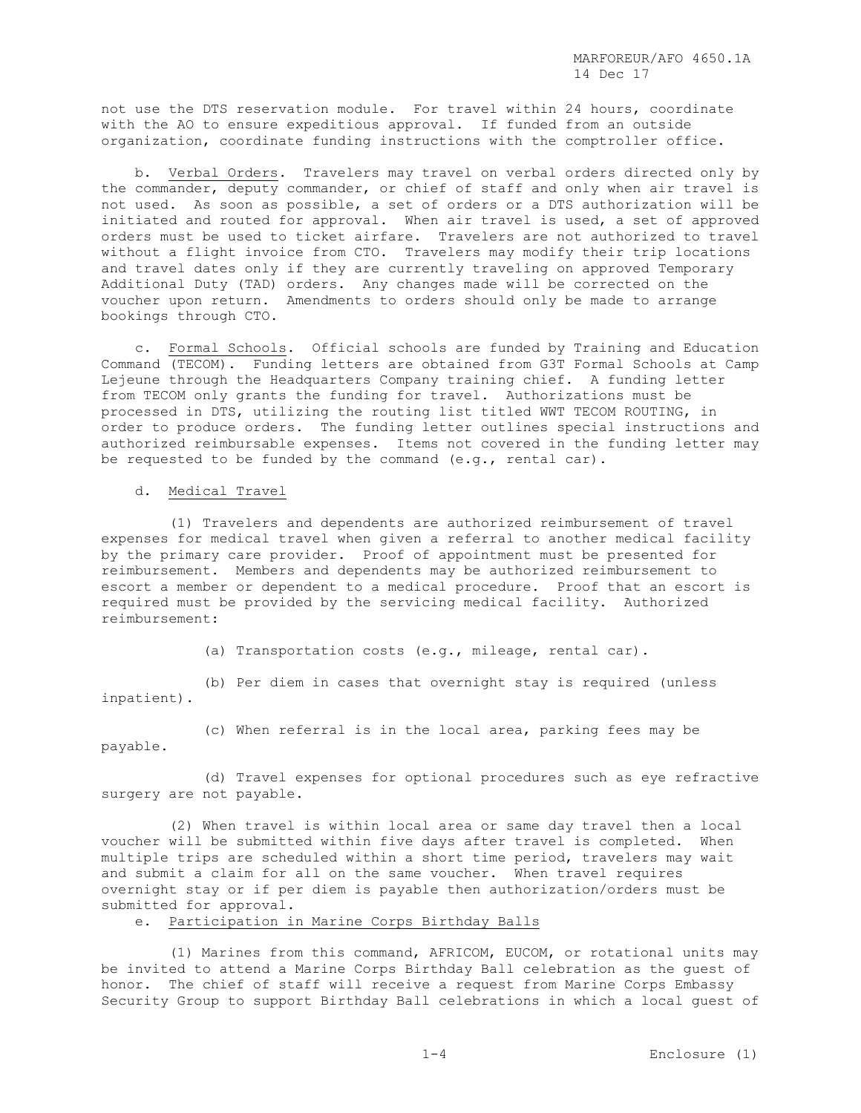not use the DTS reservation module. For travel within 24 hours, coordinate with the AO to ensure expeditious approval. If funded from an outside organization, coordinate funding instructions with the comptroller office.

 b. Verbal Orders. Travelers may travel on verbal orders directed only by the commander, deputy commander, or chief of staff and only when air travel is not used. As soon as possible, a set of orders or a DTS authorization will be initiated and routed for approval. When air travel is used, a set of approved orders must be used to ticket airfare. Travelers are not authorized to travel without a flight invoice from CTO. Travelers may modify their trip locations and travel dates only if they are currently traveling on approved Temporary Additional Duty (TAD) orders. Any changes made will be corrected on the voucher upon return. Amendments to orders should only be made to arrange bookings through CTO.

 c. Formal Schools. Official schools are funded by Training and Education Command (TECOM). Funding letters are obtained from G3T Formal Schools at Camp Lejeune through the Headquarters Company training chief. A funding letter from TECOM only grants the funding for travel. Authorizations must be processed in DTS, utilizing the routing list titled WWT TECOM ROUTING, in order to produce orders. The funding letter outlines special instructions and authorized reimbursable expenses. Items not covered in the funding letter may be requested to be funded by the command (e.g., rental car).

### d. Medical Travel

 (1) Travelers and dependents are authorized reimbursement of travel expenses for medical travel when given a referral to another medical facility by the primary care provider. Proof of appointment must be presented for reimbursement. Members and dependents may be authorized reimbursement to escort a member or dependent to a medical procedure. Proof that an escort is required must be provided by the servicing medical facility. Authorized reimbursement:

(a) Transportation costs (e.g., mileage, rental car).

 (b) Per diem in cases that overnight stay is required (unless inpatient).

 (c) When referral is in the local area, parking fees may be payable.

 (d) Travel expenses for optional procedures such as eye refractive surgery are not payable.

 (2) When travel is within local area or same day travel then a local voucher will be submitted within five days after travel is completed. When multiple trips are scheduled within a short time period, travelers may wait and submit a claim for all on the same voucher. When travel requires overnight stay or if per diem is payable then authorization/orders must be submitted for approval.

e. Participation in Marine Corps Birthday Balls

 (1) Marines from this command, AFRICOM, EUCOM, or rotational units may be invited to attend a Marine Corps Birthday Ball celebration as the guest of honor. The chief of staff will receive a request from Marine Corps Embassy Security Group to support Birthday Ball celebrations in which a local guest of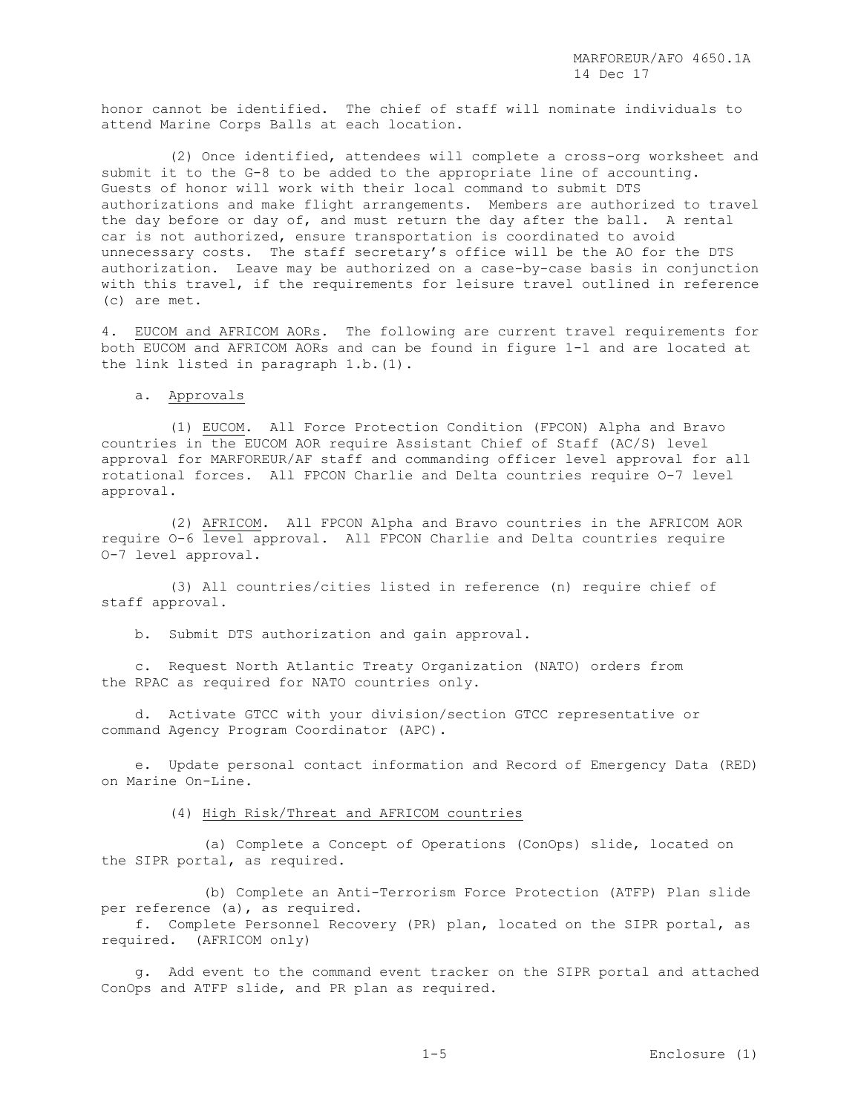honor cannot be identified. The chief of staff will nominate individuals to attend Marine Corps Balls at each location.

 (2) Once identified, attendees will complete a cross-org worksheet and submit it to the G-8 to be added to the appropriate line of accounting. Guests of honor will work with their local command to submit DTS authorizations and make flight arrangements. Members are authorized to travel the day before or day of, and must return the day after the ball. A rental car is not authorized, ensure transportation is coordinated to avoid unnecessary costs. The staff secretary's office will be the AO for the DTS authorization. Leave may be authorized on a case-by-case basis in conjunction with this travel, if the requirements for leisure travel outlined in reference (c) are met.

4. EUCOM and AFRICOM AORs. The following are current travel requirements for both EUCOM and AFRICOM AORs and can be found in figure 1-1 and are located at the link listed in paragraph 1.b.(1).

### a. Approvals

 (1) EUCOM. All Force Protection Condition (FPCON) Alpha and Bravo countries in the EUCOM AOR require Assistant Chief of Staff (AC/S) level approval for MARFOREUR/AF staff and commanding officer level approval for all rotational forces. All FPCON Charlie and Delta countries require O-7 level approval.

 (2) AFRICOM. All FPCON Alpha and Bravo countries in the AFRICOM AOR require O-6 level approval. All FPCON Charlie and Delta countries require O-7 level approval.

 (3) All countries/cities listed in reference (n) require chief of staff approval.

b. Submit DTS authorization and gain approval.

 c. Request North Atlantic Treaty Organization (NATO) orders from the RPAC as required for NATO countries only.

 d. Activate GTCC with your division/section GTCC representative or command Agency Program Coordinator (APC).

 e. Update personal contact information and Record of Emergency Data (RED) on Marine On-Line.

(4) High Risk/Threat and AFRICOM countries

 (a) Complete a Concept of Operations (ConOps) slide, located on the SIPR portal, as required.

 (b) Complete an Anti-Terrorism Force Protection (ATFP) Plan slide per reference (a), as required.

 f. Complete Personnel Recovery (PR) plan, located on the SIPR portal, as required. (AFRICOM only)

 g. Add event to the command event tracker on the SIPR portal and attached ConOps and ATFP slide, and PR plan as required.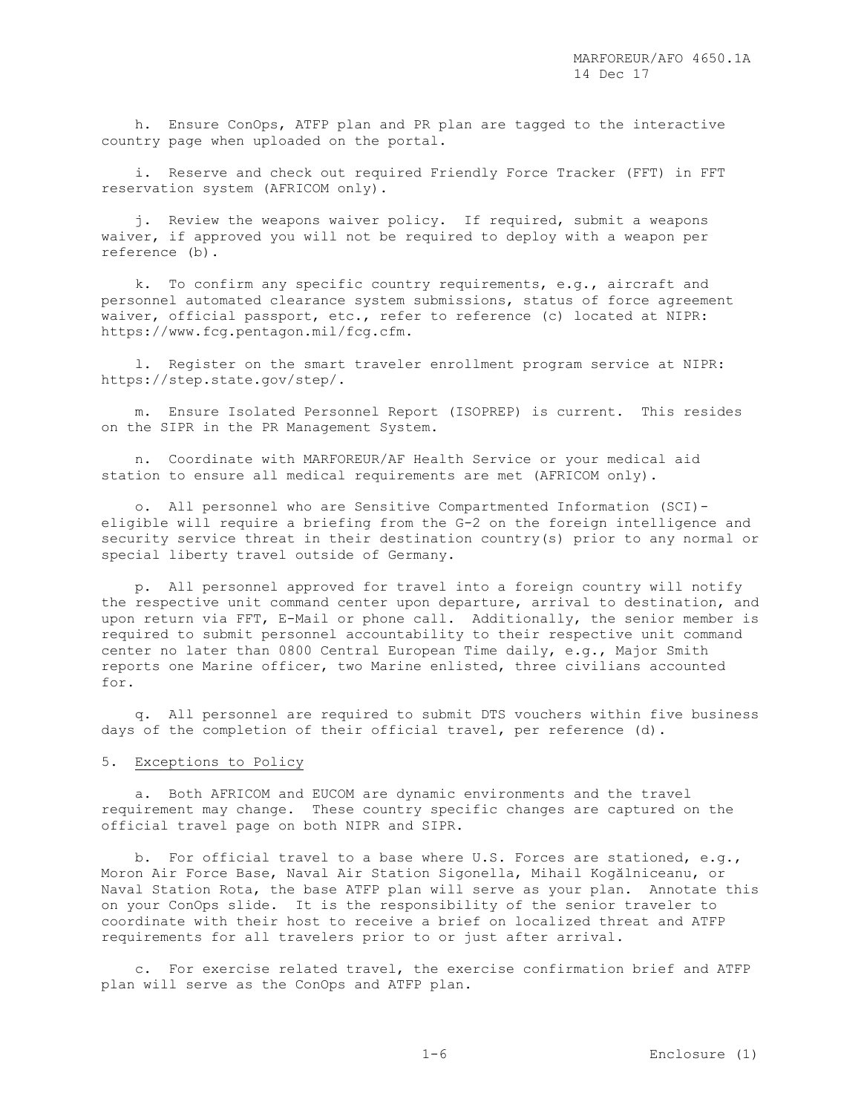h. Ensure ConOps, ATFP plan and PR plan are tagged to the interactive country page when uploaded on the portal.

 i. Reserve and check out required Friendly Force Tracker (FFT) in FFT reservation system (AFRICOM only).

 j. Review the weapons waiver policy. If required, submit a weapons waiver, if approved you will not be required to deploy with a weapon per reference (b).

 k. To confirm any specific country requirements, e.g., aircraft and personnel automated clearance system submissions, status of force agreement waiver, official passport, etc., refer to reference (c) located at NIPR: https://www.fcg.pentagon.mil/fcg.cfm.

 l. Register on the smart traveler enrollment program service at NIPR: https://step.state.gov/step/.

 m. Ensure Isolated Personnel Report (ISOPREP) is current. This resides on the SIPR in the PR Management System.

 n. Coordinate with MARFOREUR/AF Health Service or your medical aid station to ensure all medical requirements are met (AFRICOM only).

 o. All personnel who are Sensitive Compartmented Information (SCI) eligible will require a briefing from the G-2 on the foreign intelligence and security service threat in their destination country(s) prior to any normal or special liberty travel outside of Germany.

 p. All personnel approved for travel into a foreign country will notify the respective unit command center upon departure, arrival to destination, and upon return via FFT, E-Mail or phone call. Additionally, the senior member is required to submit personnel accountability to their respective unit command center no later than 0800 Central European Time daily, e.g., Major Smith reports one Marine officer, two Marine enlisted, three civilians accounted for.

 q. All personnel are required to submit DTS vouchers within five business days of the completion of their official travel, per reference (d).

### 5. Exceptions to Policy

 a. Both AFRICOM and EUCOM are dynamic environments and the travel requirement may change. These country specific changes are captured on the official travel page on both NIPR and SIPR.

 b. For official travel to a base where U.S. Forces are stationed, e.g., Moron Air Force Base, Naval Air Station Sigonella, Mihail Kogălniceanu, or Naval Station Rota, the base ATFP plan will serve as your plan. Annotate this on your ConOps slide. It is the responsibility of the senior traveler to coordinate with their host to receive a brief on localized threat and ATFP requirements for all travelers prior to or just after arrival.

 c. For exercise related travel, the exercise confirmation brief and ATFP plan will serve as the ConOps and ATFP plan.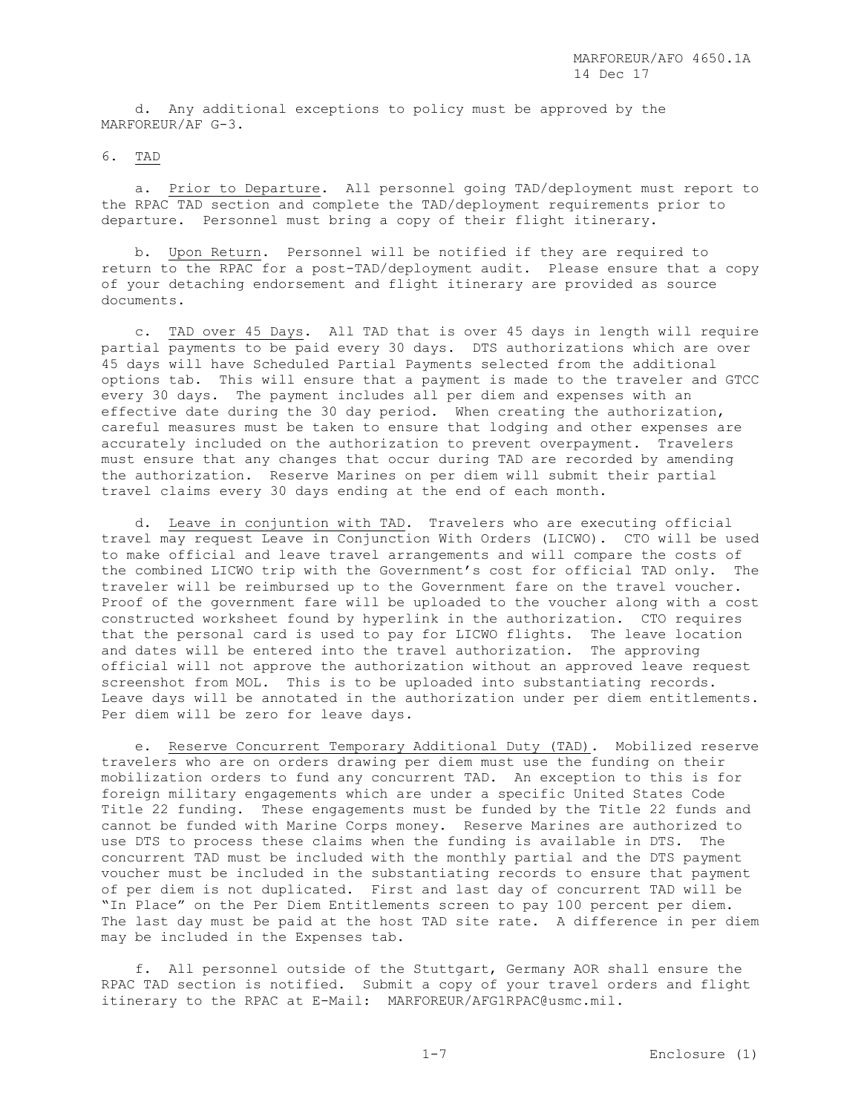d. Any additional exceptions to policy must be approved by the MARFOREUR/AF G-3.

### 6. TAD

 a. Prior to Departure. All personnel going TAD/deployment must report to the RPAC TAD section and complete the TAD/deployment requirements prior to departure. Personnel must bring a copy of their flight itinerary.

 b. Upon Return. Personnel will be notified if they are required to return to the RPAC for a post-TAD/deployment audit. Please ensure that a copy of your detaching endorsement and flight itinerary are provided as source documents.

 c. TAD over 45 Days. All TAD that is over 45 days in length will require partial payments to be paid every 30 days. DTS authorizations which are over 45 days will have Scheduled Partial Payments selected from the additional options tab. This will ensure that a payment is made to the traveler and GTCC every 30 days. The payment includes all per diem and expenses with an effective date during the 30 day period. When creating the authorization, careful measures must be taken to ensure that lodging and other expenses are accurately included on the authorization to prevent overpayment. Travelers must ensure that any changes that occur during TAD are recorded by amending the authorization. Reserve Marines on per diem will submit their partial travel claims every 30 days ending at the end of each month.

 d. Leave in conjuntion with TAD. Travelers who are executing official travel may request Leave in Conjunction With Orders (LICWO). CTO will be used to make official and leave travel arrangements and will compare the costs of the combined LICWO trip with the Government's cost for official TAD only. The traveler will be reimbursed up to the Government fare on the travel voucher. Proof of the government fare will be uploaded to the voucher along with a cost constructed worksheet found by hyperlink in the authorization. CTO requires that the personal card is used to pay for LICWO flights. The leave location and dates will be entered into the travel authorization. The approving official will not approve the authorization without an approved leave request screenshot from MOL. This is to be uploaded into substantiating records. Leave days will be annotated in the authorization under per diem entitlements. Per diem will be zero for leave days.

 e. Reserve Concurrent Temporary Additional Duty (TAD). Mobilized reserve travelers who are on orders drawing per diem must use the funding on their mobilization orders to fund any concurrent TAD. An exception to this is for foreign military engagements which are under a specific United States Code Title 22 funding. These engagements must be funded by the Title 22 funds and cannot be funded with Marine Corps money. Reserve Marines are authorized to use DTS to process these claims when the funding is available in DTS. The concurrent TAD must be included with the monthly partial and the DTS payment voucher must be included in the substantiating records to ensure that payment of per diem is not duplicated. First and last day of concurrent TAD will be "In Place" on the Per Diem Entitlements screen to pay 100 percent per diem. The last day must be paid at the host TAD site rate. A difference in per diem may be included in the Expenses tab.

 f. All personnel outside of the Stuttgart, Germany AOR shall ensure the RPAC TAD section is notified. Submit a copy of your travel orders and flight itinerary to the RPAC at E-Mail: MARFOREUR/AFG1RPAC@usmc.mil.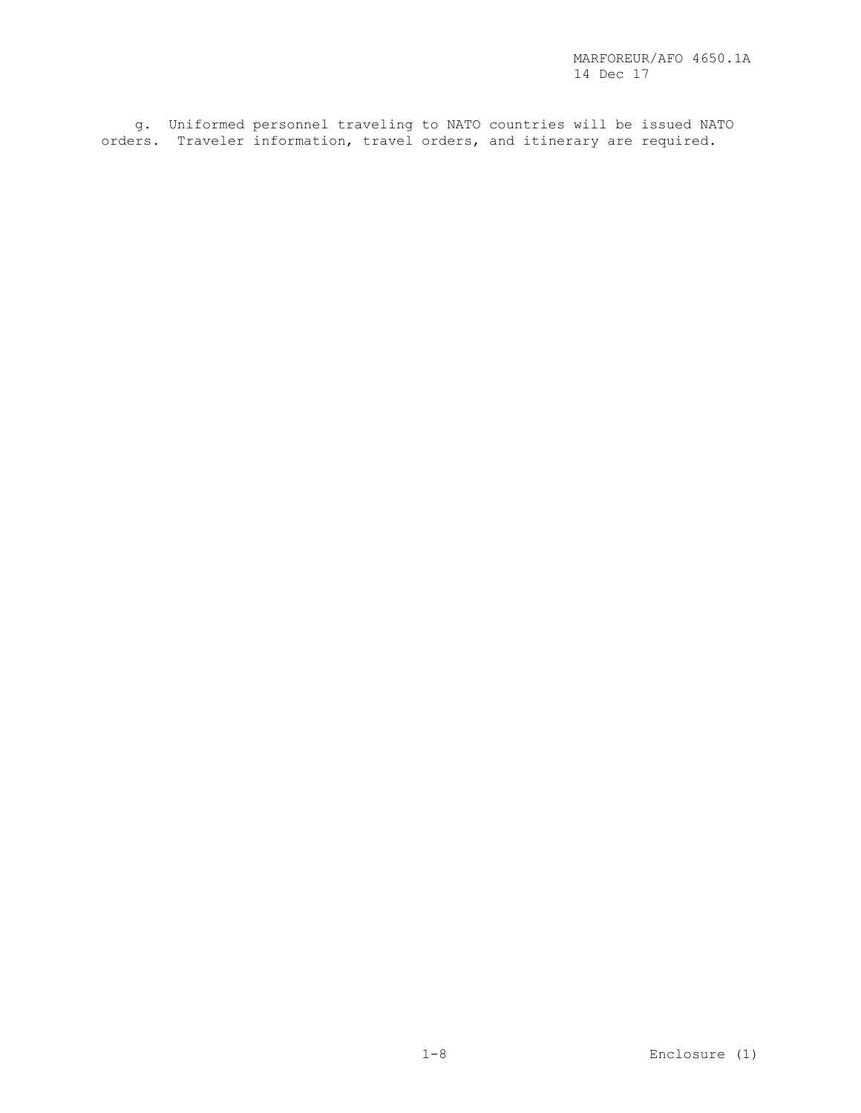g. Uniformed personnel traveling to NATO countries will be issued NATO orders. Traveler information, travel orders, and itinerary are required.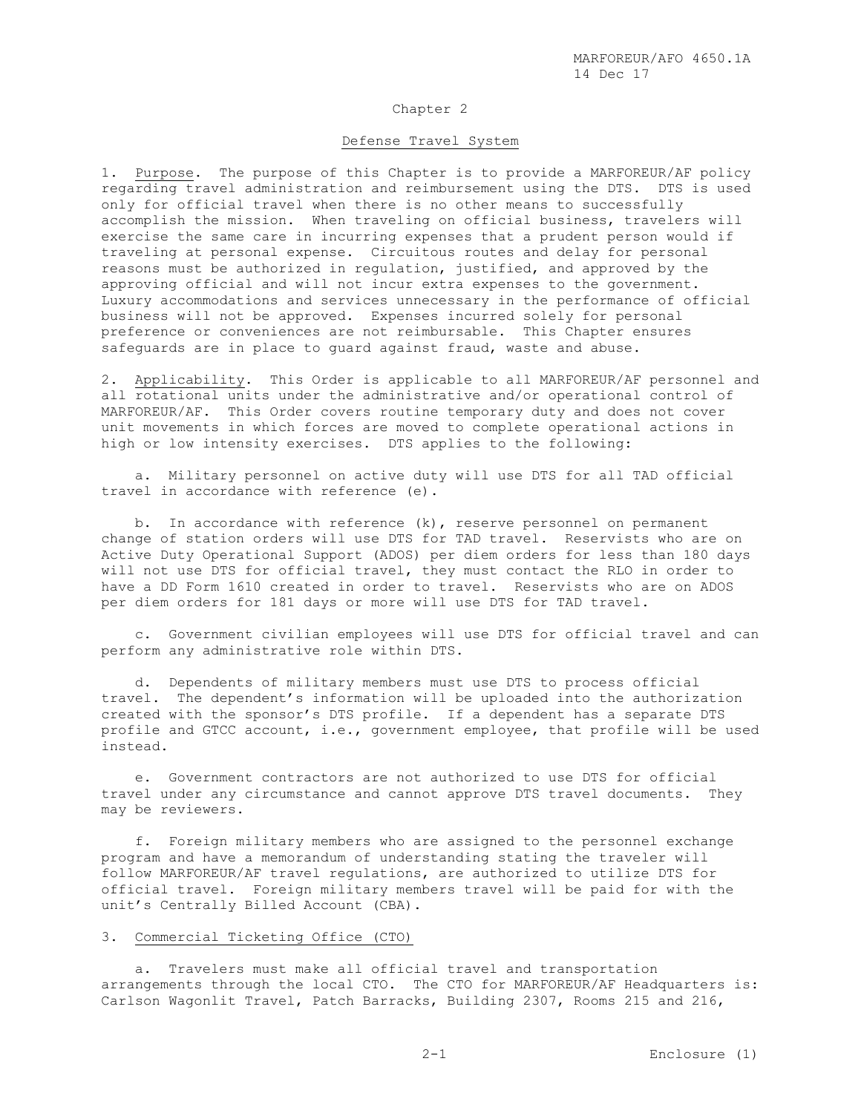## Chapter 2

#### Defense Travel System

1. Purpose. The purpose of this Chapter is to provide a MARFOREUR/AF policy regarding travel administration and reimbursement using the DTS. DTS is used only for official travel when there is no other means to successfully accomplish the mission. When traveling on official business, travelers will exercise the same care in incurring expenses that a prudent person would if traveling at personal expense. Circuitous routes and delay for personal reasons must be authorized in regulation, justified, and approved by the approving official and will not incur extra expenses to the government. Luxury accommodations and services unnecessary in the performance of official business will not be approved. Expenses incurred solely for personal preference or conveniences are not reimbursable. This Chapter ensures safeguards are in place to guard against fraud, waste and abuse.

2. Applicability. This Order is applicable to all MARFOREUR/AF personnel and all rotational units under the administrative and/or operational control of MARFOREUR/AF. This Order covers routine temporary duty and does not cover unit movements in which forces are moved to complete operational actions in high or low intensity exercises. DTS applies to the following:

 a. Military personnel on active duty will use DTS for all TAD official travel in accordance with reference (e).

 b. In accordance with reference (k), reserve personnel on permanent change of station orders will use DTS for TAD travel. Reservists who are on Active Duty Operational Support (ADOS) per diem orders for less than 180 days will not use DTS for official travel, they must contact the RLO in order to have a DD Form 1610 created in order to travel. Reservists who are on ADOS per diem orders for 181 days or more will use DTS for TAD travel.

 c. Government civilian employees will use DTS for official travel and can perform any administrative role within DTS.

 d. Dependents of military members must use DTS to process official travel. The dependent's information will be uploaded into the authorization created with the sponsor's DTS profile. If a dependent has a separate DTS profile and GTCC account, i.e., government employee, that profile will be used instead.

 e. Government contractors are not authorized to use DTS for official travel under any circumstance and cannot approve DTS travel documents. They may be reviewers.

 f. Foreign military members who are assigned to the personnel exchange program and have a memorandum of understanding stating the traveler will follow MARFOREUR/AF travel regulations, are authorized to utilize DTS for official travel. Foreign military members travel will be paid for with the unit's Centrally Billed Account (CBA).

### 3. Commercial Ticketing Office (CTO)

 a. Travelers must make all official travel and transportation arrangements through the local CTO. The CTO for MARFOREUR/AF Headquarters is: Carlson Wagonlit Travel, Patch Barracks, Building 2307, Rooms 215 and 216,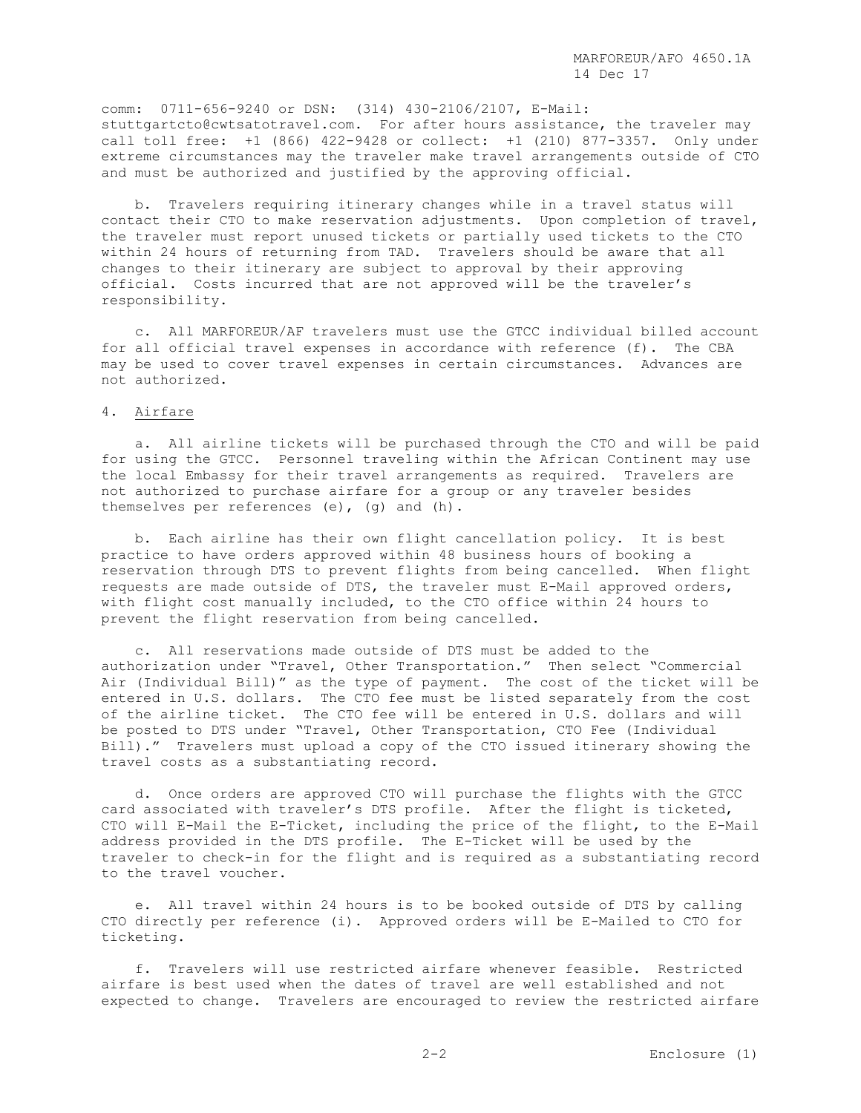comm: 0711-656-9240 or DSN: (314) 430-2106/2107, E-Mail: stuttgartcto@cwtsatotravel.com. For after hours assistance, the traveler may call toll free: +1 (866) 422-9428 or collect: +1 (210) 877-3357. Only under extreme circumstances may the traveler make travel arrangements outside of CTO and must be authorized and justified by the approving official.

 b. Travelers requiring itinerary changes while in a travel status will contact their CTO to make reservation adjustments. Upon completion of travel, the traveler must report unused tickets or partially used tickets to the CTO within 24 hours of returning from TAD. Travelers should be aware that all changes to their itinerary are subject to approval by their approving official. Costs incurred that are not approved will be the traveler's responsibility.

 c. All MARFOREUR/AF travelers must use the GTCC individual billed account for all official travel expenses in accordance with reference (f). The CBA may be used to cover travel expenses in certain circumstances. Advances are not authorized.

#### 4. Airfare

 a. All airline tickets will be purchased through the CTO and will be paid for using the GTCC. Personnel traveling within the African Continent may use the local Embassy for their travel arrangements as required. Travelers are not authorized to purchase airfare for a group or any traveler besides themselves per references (e), (g) and (h).

 b. Each airline has their own flight cancellation policy. It is best practice to have orders approved within 48 business hours of booking a reservation through DTS to prevent flights from being cancelled. When flight requests are made outside of DTS, the traveler must E-Mail approved orders, with flight cost manually included, to the CTO office within 24 hours to prevent the flight reservation from being cancelled.

 c. All reservations made outside of DTS must be added to the authorization under "Travel, Other Transportation." Then select "Commercial Air (Individual Bill)" as the type of payment. The cost of the ticket will be entered in U.S. dollars. The CTO fee must be listed separately from the cost of the airline ticket. The CTO fee will be entered in U.S. dollars and will be posted to DTS under "Travel, Other Transportation, CTO Fee (Individual Bill)." Travelers must upload a copy of the CTO issued itinerary showing the travel costs as a substantiating record.

 d. Once orders are approved CTO will purchase the flights with the GTCC card associated with traveler's DTS profile. After the flight is ticketed, CTO will E-Mail the E-Ticket, including the price of the flight, to the E-Mail address provided in the DTS profile. The E-Ticket will be used by the traveler to check-in for the flight and is required as a substantiating record to the travel voucher.

 e. All travel within 24 hours is to be booked outside of DTS by calling CTO directly per reference (i). Approved orders will be E-Mailed to CTO for ticketing.

 f. Travelers will use restricted airfare whenever feasible. Restricted airfare is best used when the dates of travel are well established and not expected to change. Travelers are encouraged to review the restricted airfare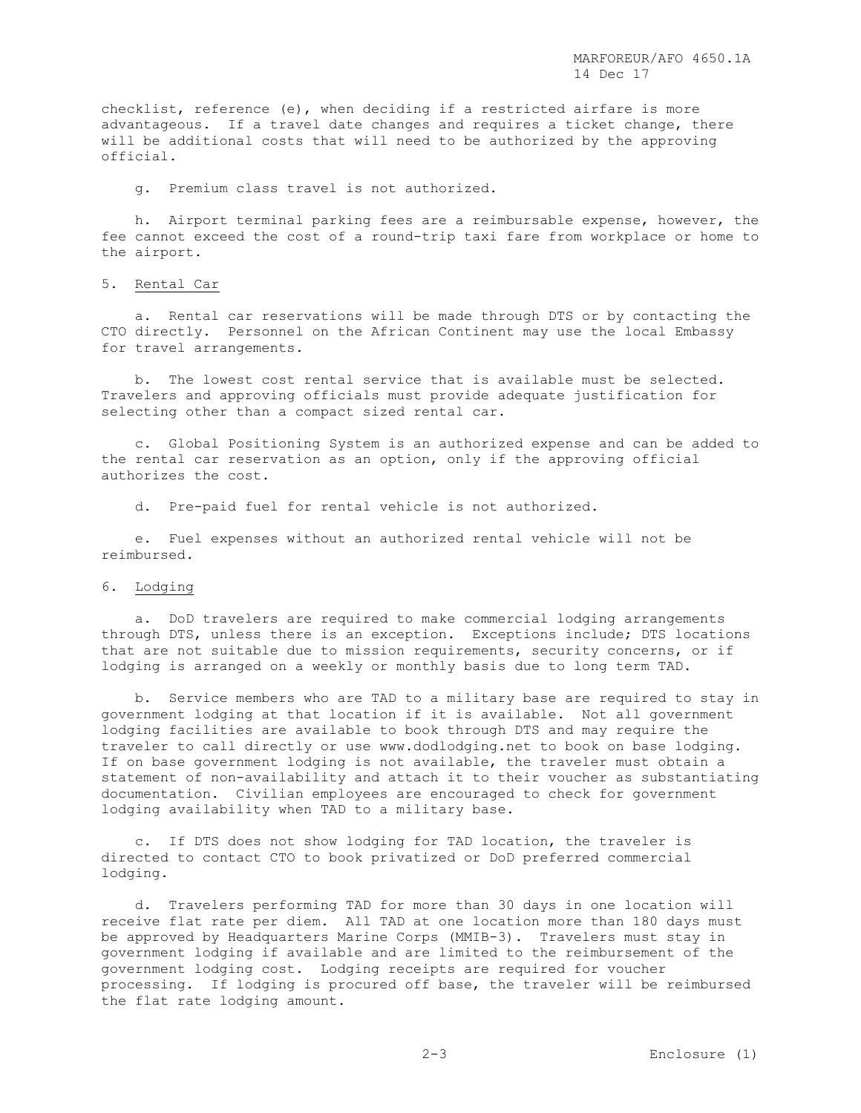checklist, reference (e), when deciding if a restricted airfare is more advantageous. If a travel date changes and requires a ticket change, there will be additional costs that will need to be authorized by the approving official.

g. Premium class travel is not authorized.

 h. Airport terminal parking fees are a reimbursable expense, however, the fee cannot exceed the cost of a round-trip taxi fare from workplace or home to the airport.

### 5. Rental Car

 a. Rental car reservations will be made through DTS or by contacting the CTO directly. Personnel on the African Continent may use the local Embassy for travel arrangements.

 b. The lowest cost rental service that is available must be selected. Travelers and approving officials must provide adequate justification for selecting other than a compact sized rental car.

 c. Global Positioning System is an authorized expense and can be added to the rental car reservation as an option, only if the approving official authorizes the cost.

d. Pre-paid fuel for rental vehicle is not authorized.

 e. Fuel expenses without an authorized rental vehicle will not be reimbursed.

#### 6. Lodging

 a. DoD travelers are required to make commercial lodging arrangements through DTS, unless there is an exception. Exceptions include; DTS locations that are not suitable due to mission requirements, security concerns, or if lodging is arranged on a weekly or monthly basis due to long term TAD.

 b. Service members who are TAD to a military base are required to stay in government lodging at that location if it is available. Not all government lodging facilities are available to book through DTS and may require the traveler to call directly or use www.dodlodging.net to book on base lodging. If on base government lodging is not available, the traveler must obtain a statement of non-availability and attach it to their voucher as substantiating documentation. Civilian employees are encouraged to check for government lodging availability when TAD to a military base.

 c. If DTS does not show lodging for TAD location, the traveler is directed to contact CTO to book privatized or DoD preferred commercial lodging.

 d. Travelers performing TAD for more than 30 days in one location will receive flat rate per diem. All TAD at one location more than 180 days must be approved by Headquarters Marine Corps (MMIB-3). Travelers must stay in government lodging if available and are limited to the reimbursement of the government lodging cost. Lodging receipts are required for voucher processing. If lodging is procured off base, the traveler will be reimbursed the flat rate lodging amount.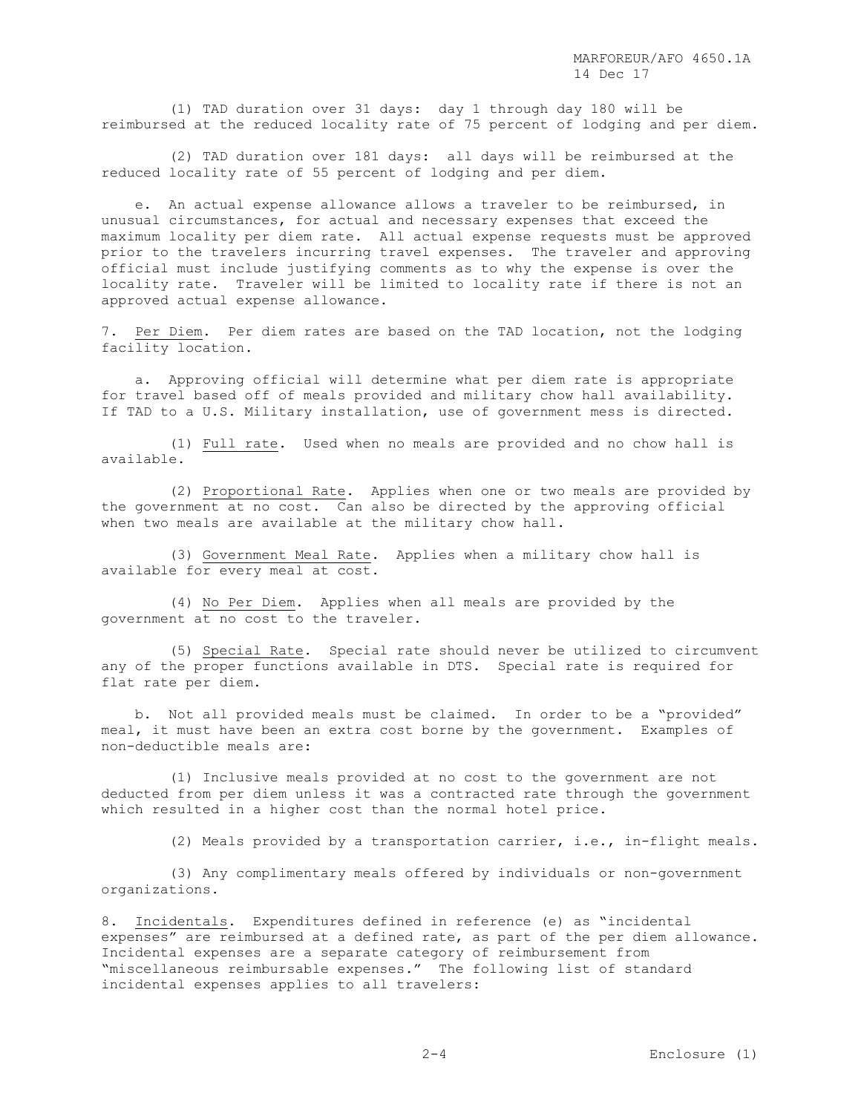(1) TAD duration over 31 days: day 1 through day 180 will be reimbursed at the reduced locality rate of 75 percent of lodging and per diem.

 (2) TAD duration over 181 days: all days will be reimbursed at the reduced locality rate of 55 percent of lodging and per diem.

 e. An actual expense allowance allows a traveler to be reimbursed, in unusual circumstances, for actual and necessary expenses that exceed the maximum locality per diem rate. All actual expense requests must be approved prior to the travelers incurring travel expenses. The traveler and approving official must include justifying comments as to why the expense is over the locality rate. Traveler will be limited to locality rate if there is not an approved actual expense allowance.

7. Per Diem. Per diem rates are based on the TAD location, not the lodging facility location.

 a. Approving official will determine what per diem rate is appropriate for travel based off of meals provided and military chow hall availability. If TAD to a U.S. Military installation, use of government mess is directed.

 (1) Full rate. Used when no meals are provided and no chow hall is available.

 (2) Proportional Rate. Applies when one or two meals are provided by the government at no cost. Can also be directed by the approving official when two meals are available at the military chow hall.

 (3) Government Meal Rate. Applies when a military chow hall is available for every meal at cost.

 (4) No Per Diem. Applies when all meals are provided by the government at no cost to the traveler.

 (5) Special Rate. Special rate should never be utilized to circumvent any of the proper functions available in DTS. Special rate is required for flat rate per diem.

 b. Not all provided meals must be claimed. In order to be a "provided" meal, it must have been an extra cost borne by the government. Examples of non-deductible meals are:

 (1) Inclusive meals provided at no cost to the government are not deducted from per diem unless it was a contracted rate through the government which resulted in a higher cost than the normal hotel price.

(2) Meals provided by a transportation carrier, i.e., in-flight meals.

 (3) Any complimentary meals offered by individuals or non-government organizations.

8. Incidentals. Expenditures defined in reference (e) as "incidental expenses" are reimbursed at a defined rate, as part of the per diem allowance. Incidental expenses are a separate category of reimbursement from "miscellaneous reimbursable expenses." The following list of standard incidental expenses applies to all travelers: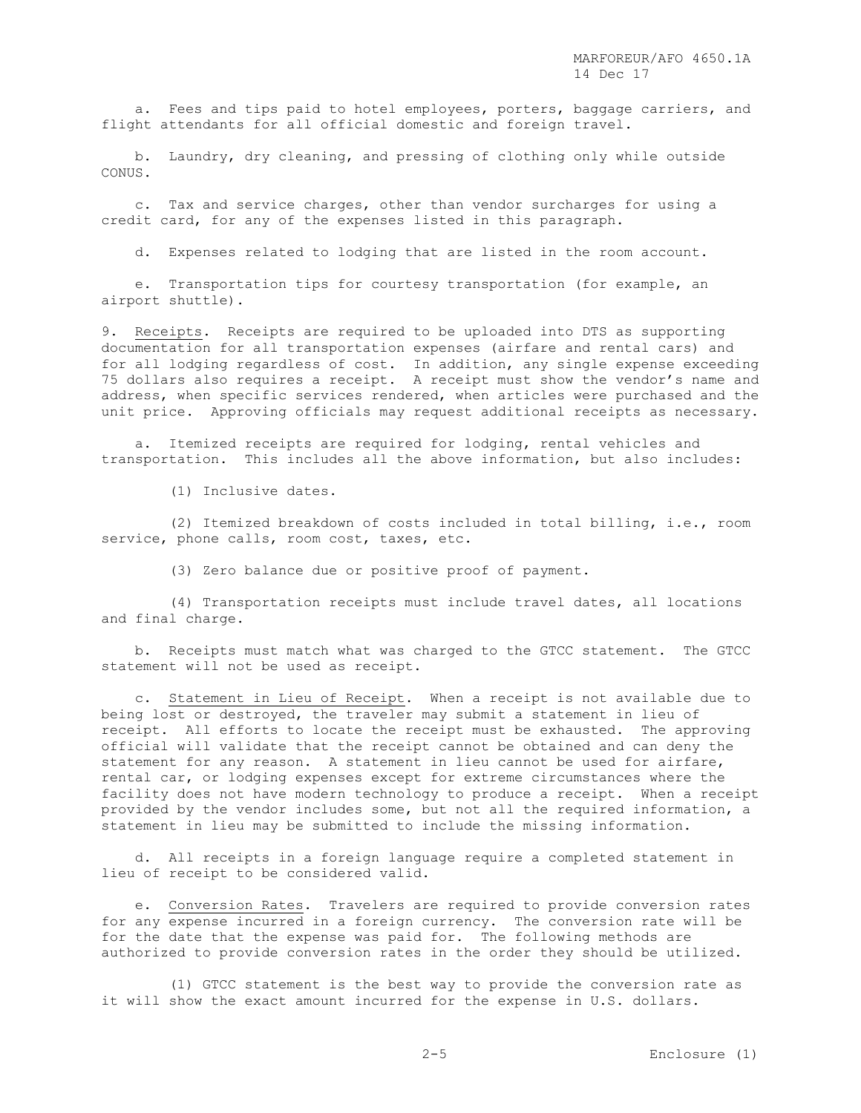a. Fees and tips paid to hotel employees, porters, baggage carriers, and flight attendants for all official domestic and foreign travel.

 b. Laundry, dry cleaning, and pressing of clothing only while outside CONUS.

 c. Tax and service charges, other than vendor surcharges for using a credit card, for any of the expenses listed in this paragraph.

d. Expenses related to lodging that are listed in the room account.

 e. Transportation tips for courtesy transportation (for example, an airport shuttle).

9. Receipts. Receipts are required to be uploaded into DTS as supporting documentation for all transportation expenses (airfare and rental cars) and for all lodging regardless of cost. In addition, any single expense exceeding 75 dollars also requires a receipt. A receipt must show the vendor's name and address, when specific services rendered, when articles were purchased and the unit price. Approving officials may request additional receipts as necessary.

 a. Itemized receipts are required for lodging, rental vehicles and transportation. This includes all the above information, but also includes:

(1) Inclusive dates.

 (2) Itemized breakdown of costs included in total billing, i.e., room service, phone calls, room cost, taxes, etc.

(3) Zero balance due or positive proof of payment.

 (4) Transportation receipts must include travel dates, all locations and final charge.

 b. Receipts must match what was charged to the GTCC statement. The GTCC statement will not be used as receipt.

 c. Statement in Lieu of Receipt. When a receipt is not available due to being lost or destroyed, the traveler may submit a statement in lieu of receipt. All efforts to locate the receipt must be exhausted. The approving official will validate that the receipt cannot be obtained and can deny the statement for any reason. A statement in lieu cannot be used for airfare, rental car, or lodging expenses except for extreme circumstances where the facility does not have modern technology to produce a receipt. When a receipt provided by the vendor includes some, but not all the required information, a statement in lieu may be submitted to include the missing information.

 d. All receipts in a foreign language require a completed statement in lieu of receipt to be considered valid.

e. Conversion Rates. Travelers are required to provide conversion rates for any expense incurred in a foreign currency. The conversion rate will be for the date that the expense was paid for. The following methods are authorized to provide conversion rates in the order they should be utilized.

 (1) GTCC statement is the best way to provide the conversion rate as it will show the exact amount incurred for the expense in U.S. dollars.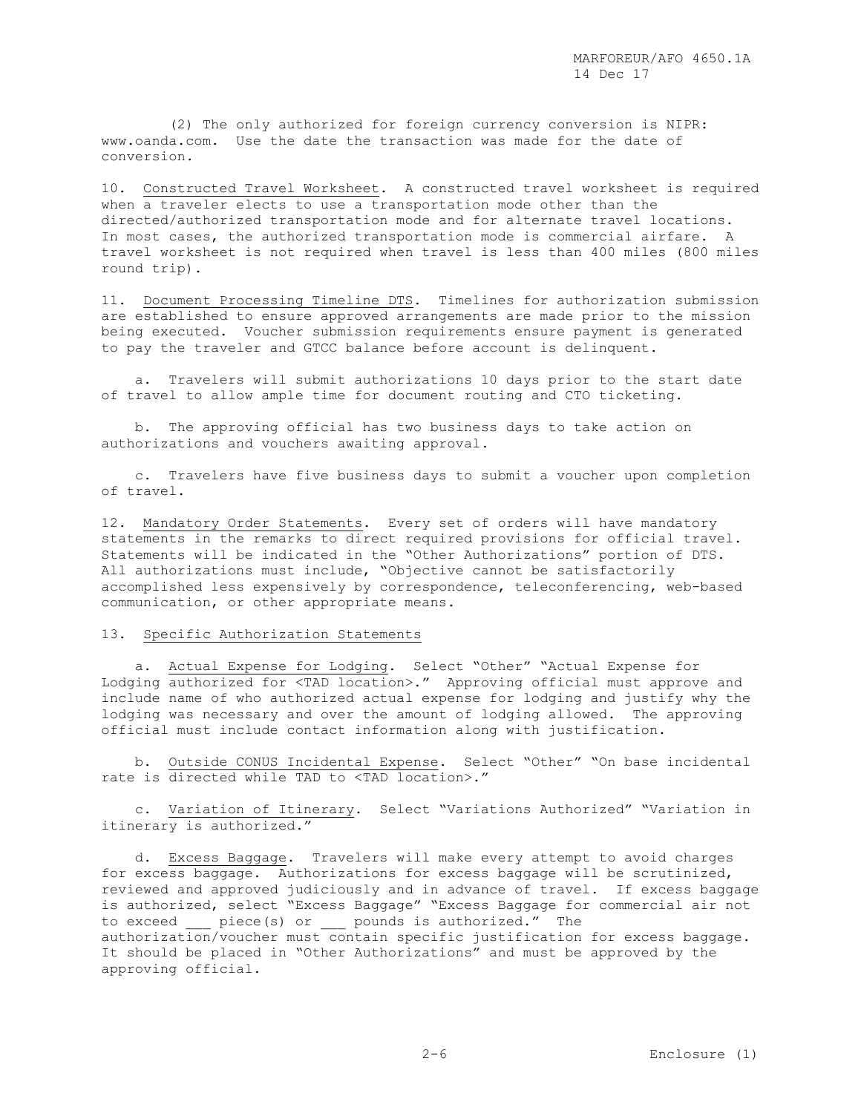(2) The only authorized for foreign currency conversion is NIPR: www.oanda.com. Use the date the transaction was made for the date of conversion.

10. Constructed Travel Worksheet. A constructed travel worksheet is required when a traveler elects to use a transportation mode other than the directed/authorized transportation mode and for alternate travel locations. In most cases, the authorized transportation mode is commercial airfare. A travel worksheet is not required when travel is less than 400 miles (800 miles round trip).

11. Document Processing Timeline DTS. Timelines for authorization submission are established to ensure approved arrangements are made prior to the mission being executed. Voucher submission requirements ensure payment is generated to pay the traveler and GTCC balance before account is delinquent.

 a. Travelers will submit authorizations 10 days prior to the start date of travel to allow ample time for document routing and CTO ticketing.

 b. The approving official has two business days to take action on authorizations and vouchers awaiting approval.

 c. Travelers have five business days to submit a voucher upon completion of travel.

12. Mandatory Order Statements. Every set of orders will have mandatory statements in the remarks to direct required provisions for official travel. Statements will be indicated in the "Other Authorizations" portion of DTS. All authorizations must include, "Objective cannot be satisfactorily accomplished less expensively by correspondence, teleconferencing, web-based communication, or other appropriate means.

#### 13. Specific Authorization Statements

 a. Actual Expense for Lodging. Select "Other" "Actual Expense for Lodging authorized for <TAD location>." Approving official must approve and include name of who authorized actual expense for lodging and justify why the lodging was necessary and over the amount of lodging allowed. The approving official must include contact information along with justification.

 b. Outside CONUS Incidental Expense. Select "Other" "On base incidental rate is directed while TAD to <TAD location>."

 c. Variation of Itinerary. Select "Variations Authorized" "Variation in itinerary is authorized."

 d. Excess Baggage. Travelers will make every attempt to avoid charges for excess baggage. Authorizations for excess baggage will be scrutinized, reviewed and approved judiciously and in advance of travel. If excess baggage is authorized, select "Excess Baggage" "Excess Baggage for commercial air not to exceed \_\_\_ piece(s) or \_\_\_ pounds is authorized." The authorization/voucher must contain specific justification for excess baggage. It should be placed in "Other Authorizations" and must be approved by the approving official.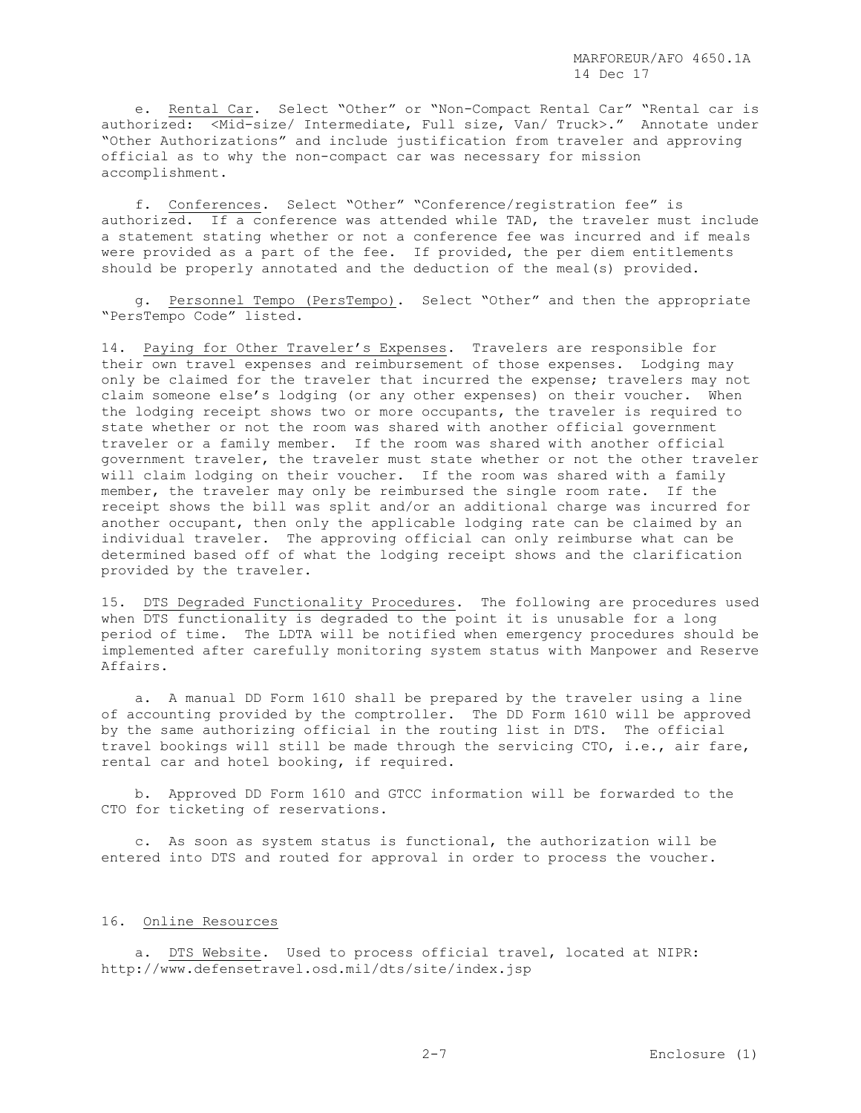e. Rental Car. Select "Other" or "Non-Compact Rental Car" "Rental car is authorized: <Mid-size/ Intermediate, Full size, Van/ Truck>." Annotate under "Other Authorizations" and include justification from traveler and approving official as to why the non-compact car was necessary for mission accomplishment.

 f. Conferences. Select "Other" "Conference/registration fee" is authorized. If a conference was attended while TAD, the traveler must include a statement stating whether or not a conference fee was incurred and if meals were provided as a part of the fee. If provided, the per diem entitlements should be properly annotated and the deduction of the meal(s) provided.

 g. Personnel Tempo (PersTempo). Select "Other" and then the appropriate "PersTempo Code" listed.

14. Paying for Other Traveler's Expenses. Travelers are responsible for their own travel expenses and reimbursement of those expenses. Lodging may only be claimed for the traveler that incurred the expense; travelers may not claim someone else's lodging (or any other expenses) on their voucher. When the lodging receipt shows two or more occupants, the traveler is required to state whether or not the room was shared with another official government traveler or a family member. If the room was shared with another official government traveler, the traveler must state whether or not the other traveler will claim lodging on their voucher. If the room was shared with a family member, the traveler may only be reimbursed the single room rate. If the receipt shows the bill was split and/or an additional charge was incurred for another occupant, then only the applicable lodging rate can be claimed by an individual traveler. The approving official can only reimburse what can be determined based off of what the lodging receipt shows and the clarification provided by the traveler.

15. DTS Degraded Functionality Procedures. The following are procedures used when DTS functionality is degraded to the point it is unusable for a long period of time. The LDTA will be notified when emergency procedures should be implemented after carefully monitoring system status with Manpower and Reserve Affairs.

 a. A manual DD Form 1610 shall be prepared by the traveler using a line of accounting provided by the comptroller. The DD Form 1610 will be approved by the same authorizing official in the routing list in DTS. The official travel bookings will still be made through the servicing CTO, i.e., air fare, rental car and hotel booking, if required.

 b. Approved DD Form 1610 and GTCC information will be forwarded to the CTO for ticketing of reservations.

 c. As soon as system status is functional, the authorization will be entered into DTS and routed for approval in order to process the voucher.

#### 16. Online Resources

 a. DTS Website. Used to process official travel, located at NIPR: http://www.defensetravel.osd.mil/dts/site/index.jsp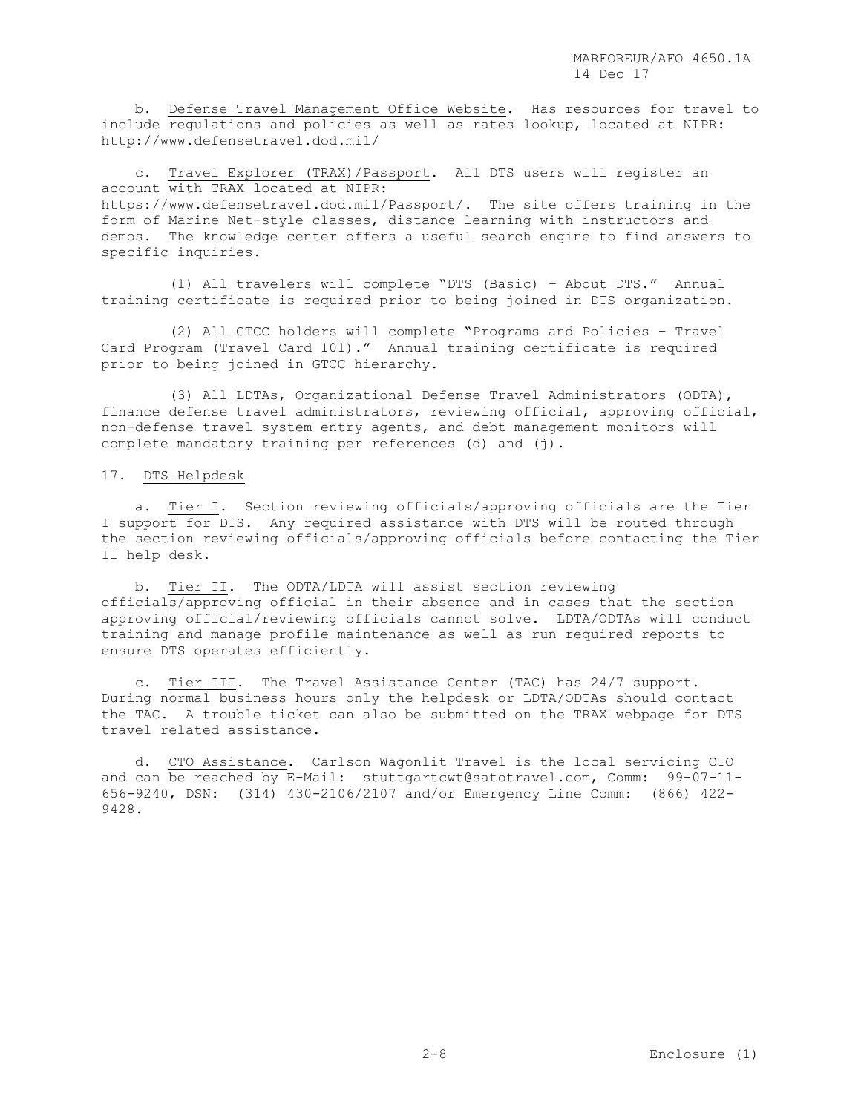b. Defense Travel Management Office Website. Has resources for travel to include regulations and policies as well as rates lookup, located at NIPR: http://www.defensetravel.dod.mil/

 c. Travel Explorer (TRAX)/Passport. All DTS users will register an account with TRAX located at NIPR: https://www.defensetravel.dod.mil/Passport/. The site offers training in the form of Marine Net-style classes, distance learning with instructors and demos. The knowledge center offers a useful search engine to find answers to specific inquiries.

 (1) All travelers will complete "DTS (Basic) – About DTS." Annual training certificate is required prior to being joined in DTS organization.

 (2) All GTCC holders will complete "Programs and Policies – Travel Card Program (Travel Card 101)." Annual training certificate is required prior to being joined in GTCC hierarchy.

 (3) All LDTAs, Organizational Defense Travel Administrators (ODTA), finance defense travel administrators, reviewing official, approving official, non-defense travel system entry agents, and debt management monitors will complete mandatory training per references (d) and (j).

#### 17. DTS Helpdesk

 a. Tier I. Section reviewing officials/approving officials are the Tier I support for DTS. Any required assistance with DTS will be routed through the section reviewing officials/approving officials before contacting the Tier II help desk.

b. Tier II. The ODTA/LDTA will assist section reviewing officials/approving official in their absence and in cases that the section approving official/reviewing officials cannot solve. LDTA/ODTAs will conduct training and manage profile maintenance as well as run required reports to ensure DTS operates efficiently.

 c. Tier III. The Travel Assistance Center (TAC) has 24/7 support. During normal business hours only the helpdesk or LDTA/ODTAs should contact the TAC. A trouble ticket can also be submitted on the TRAX webpage for DTS travel related assistance.

 d. CTO Assistance. Carlson Wagonlit Travel is the local servicing CTO and can be reached by E-Mail: [stuttgartcwt@satotravel.com,](mailto:StuttgartCWT@satotravel.com) Comm: 99-07-11- 656-9240, DSN: (314) 430-2106/2107 and/or Emergency Line Comm: (866) 422- 9428.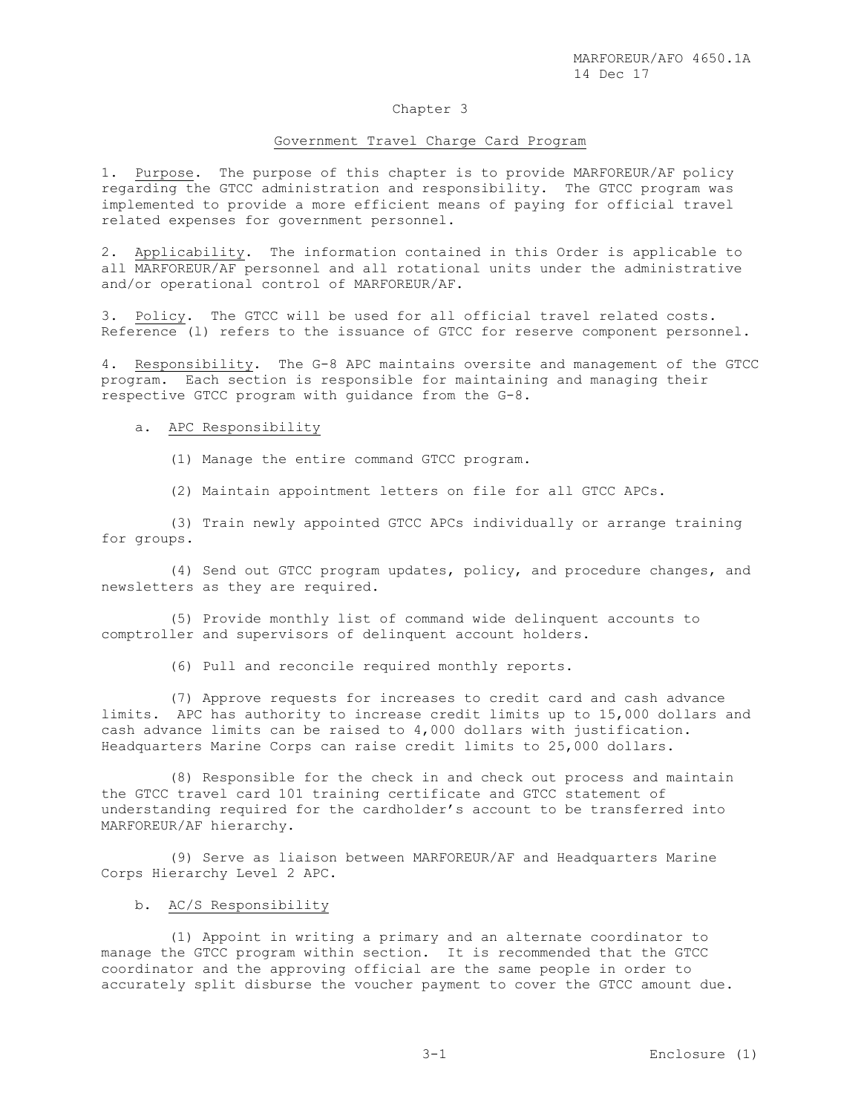### Chapter 3

#### Government Travel Charge Card Program

1. Purpose. The purpose of this chapter is to provide MARFOREUR/AF policy regarding the GTCC administration and responsibility. The GTCC program was implemented to provide a more efficient means of paying for official travel related expenses for government personnel.

2. Applicability. The information contained in this Order is applicable to all MARFOREUR/AF personnel and all rotational units under the administrative and/or operational control of MARFOREUR/AF.

3. Policy. The GTCC will be used for all official travel related costs. Reference (l) refers to the issuance of GTCC for reserve component personnel.

4. Responsibility. The G-8 APC maintains oversite and management of the GTCC program. Each section is responsible for maintaining and managing their Each section is responsible for maintaining and managing their respective GTCC program with guidance from the G-8.

a. APC Responsibility

(1) Manage the entire command GTCC program.

(2) Maintain appointment letters on file for all GTCC APCs.

 (3) Train newly appointed GTCC APCs individually or arrange training for groups.

 (4) Send out GTCC program updates, policy, and procedure changes, and newsletters as they are required.

 (5) Provide monthly list of command wide delinquent accounts to comptroller and supervisors of delinquent account holders.

(6) Pull and reconcile required monthly reports.

 (7) Approve requests for increases to credit card and cash advance limits. APC has authority to increase credit limits up to 15,000 dollars and cash advance limits can be raised to 4,000 dollars with justification. Headquarters Marine Corps can raise credit limits to 25,000 dollars.

 (8) Responsible for the check in and check out process and maintain the GTCC travel card 101 training certificate and GTCC statement of understanding required for the cardholder's account to be transferred into MARFOREUR/AF hierarchy.

 (9) Serve as liaison between MARFOREUR/AF and Headquarters Marine Corps Hierarchy Level 2 APC.

# b. AC/S Responsibility

 (1) Appoint in writing a primary and an alternate coordinator to manage the GTCC program within section. It is recommended that the GTCC coordinator and the approving official are the same people in order to accurately split disburse the voucher payment to cover the GTCC amount due.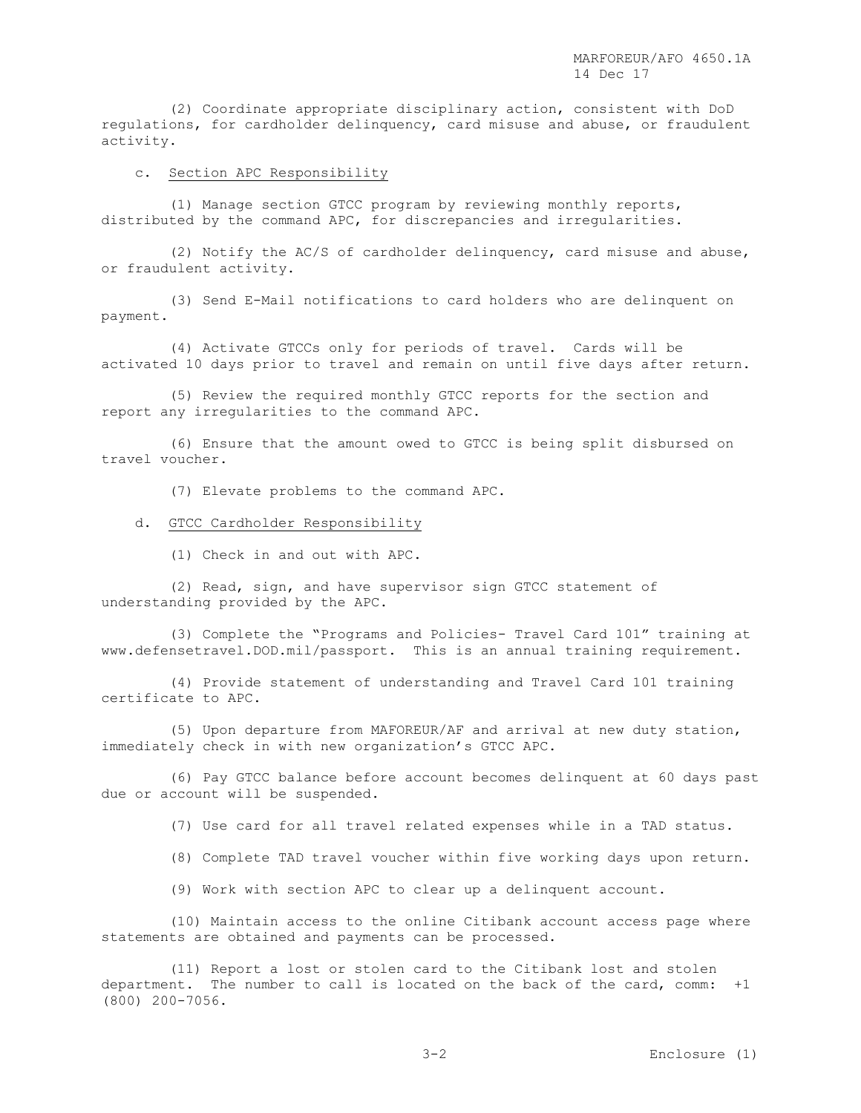(2) Coordinate appropriate disciplinary action, consistent with DoD regulations, for cardholder delinquency, card misuse and abuse, or fraudulent activity.

#### c. Section APC Responsibility

 (1) Manage section GTCC program by reviewing monthly reports, distributed by the command APC, for discrepancies and irregularities.

 (2) Notify the AC/S of cardholder delinquency, card misuse and abuse, or fraudulent activity.

 (3) Send E-Mail notifications to card holders who are delinquent on payment.

 (4) Activate GTCCs only for periods of travel. Cards will be activated 10 days prior to travel and remain on until five days after return.

 (5) Review the required monthly GTCC reports for the section and report any irregularities to the command APC.

 (6) Ensure that the amount owed to GTCC is being split disbursed on travel voucher.

(7) Elevate problems to the command APC.

#### d. GTCC Cardholder Responsibility

(1) Check in and out with APC.

 (2) Read, sign, and have supervisor sign GTCC statement of understanding provided by the APC.

 (3) Complete the "Programs and Policies- Travel Card 101" training at www.defensetravel.DOD.mil/passport. This is an annual training requirement.

 (4) Provide statement of understanding and Travel Card 101 training certificate to APC.

 (5) Upon departure from MAFOREUR/AF and arrival at new duty station, immediately check in with new organization's GTCC APC.

 (6) Pay GTCC balance before account becomes delinquent at 60 days past due or account will be suspended.

(7) Use card for all travel related expenses while in a TAD status.

(8) Complete TAD travel voucher within five working days upon return.

(9) Work with section APC to clear up a delinquent account.

 (10) Maintain access to the online Citibank account access page where statements are obtained and payments can be processed.

 (11) Report a lost or stolen card to the Citibank lost and stolen department. The number to call is located on the back of the card, comm: +1 (800) 200-7056.